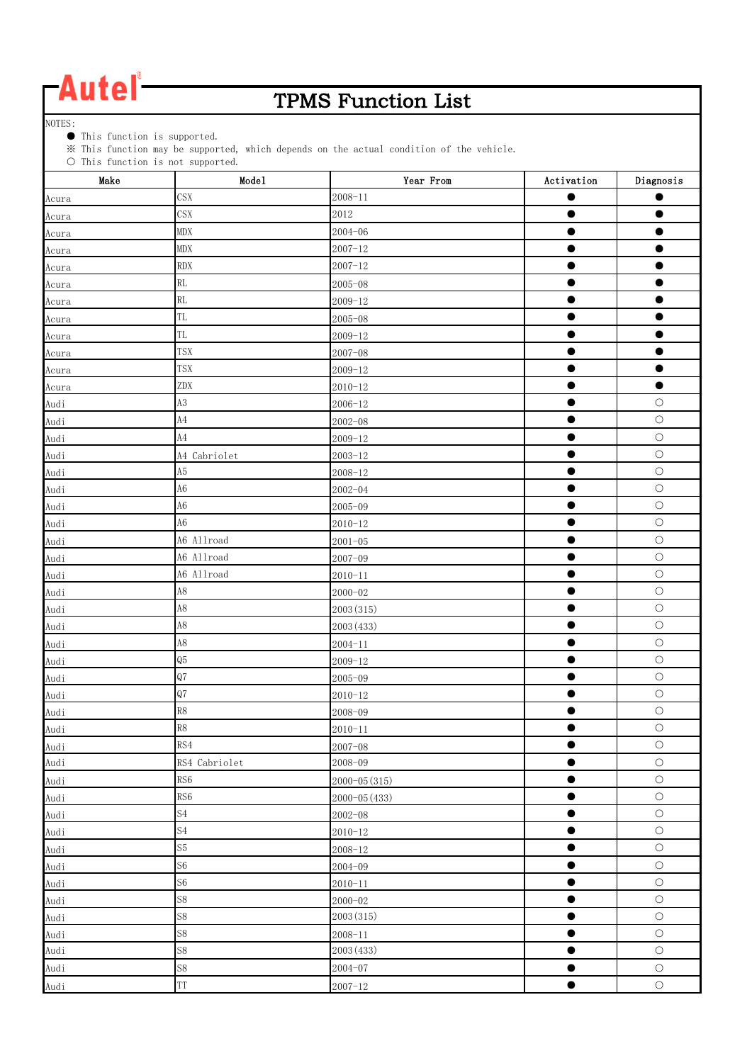### TPMS Function List

NOTES:

● This function is supported.

※ This function may be supported, which depends on the actual condition of the vehicle.

| $\cup$ inis function is not supported.<br>Make | Mode1                      | Year From     | Activation | Diagnosis  |
|------------------------------------------------|----------------------------|---------------|------------|------------|
| Acura                                          | <b>CSX</b>                 | $2008 - 11$   |            |            |
| Acura                                          | <b>CSX</b>                 | 2012          | ●          |            |
| Acura                                          | <b>MDX</b>                 | $2004 - 06$   | ●          |            |
| Acura                                          | <b>MDX</b>                 | $2007 - 12$   | $\bullet$  |            |
| Acura                                          | <b>RDX</b>                 | $2007 - 12$   | $\bullet$  | ●          |
| Acura                                          | RL                         | $2005 - 08$   | $\bullet$  | $\bullet$  |
| Acura                                          | RL                         | $2009 - 12$   | ●          |            |
| Acura                                          | <b>TL</b>                  | $2005 - 08$   | ●          |            |
| Acura                                          | <b>TL</b>                  | $2009 - 12$   | $\bullet$  |            |
| Acura                                          | <b>TSX</b>                 | $2007 - 08$   |            |            |
| Acura                                          | <b>TSX</b>                 | $2009 - 12$   |            |            |
| Acura                                          | ZDX                        | $2010 - 12$   | ●          | $\bullet$  |
| Audi                                           | $\rm A3$                   | $2006 - 12$   | ●          | $\bigcirc$ |
| Audi                                           | $\rm A4$                   | $2002 - 08$   | $\bullet$  | $\bigcirc$ |
| Audi                                           | A4                         | $2009 - 12$   | $\bullet$  | $\bigcirc$ |
| Audi                                           | A4 Cabriolet               | $2003 - 12$   | $\bullet$  | $\bigcirc$ |
| Audi                                           | A <sub>5</sub>             | $2008 - 12$   | $\bullet$  | $\bigcirc$ |
| Audi                                           | A <sub>6</sub>             | $2002 - 04$   | $\bullet$  | $\bigcirc$ |
| Audi                                           | A6                         | $2005 - 09$   |            | $\bigcirc$ |
| Audi                                           | A <sub>6</sub>             | $2010 - 12$   | $\bullet$  | $\bigcirc$ |
| Audi                                           | A6 Allroad                 | $2001 - 05$   | $\bullet$  | $\bigcirc$ |
| Audi                                           | A6 Allroad                 | $2007 - 09$   | $\bullet$  | $\bigcirc$ |
| Audi                                           | A6 Allroad                 | $2010 - 11$   |            | $\bigcirc$ |
| Audi                                           | A8                         | $2000 - 02$   | $\bullet$  | $\bigcirc$ |
| Audi                                           | A8                         | 2003 (315)    | $\bullet$  | $\circ$    |
| Audi                                           | A8                         | 2003 (433)    | $\bullet$  | $\bigcirc$ |
| Audi                                           | A8                         | $2004 - 11$   | $\bullet$  | $\bigcirc$ |
| Audi                                           | Q5                         | $2009 - 12$   | $\bullet$  | $\bigcirc$ |
| Audi                                           | Q7                         | $2005 - 09$   | $\bullet$  | $\bigcirc$ |
| Audi                                           | Q7                         | $2010 - 12$   |            | $\bigcirc$ |
| Audi                                           | R8                         | 2008-09       |            | $\bigcirc$ |
| Audi                                           | R8                         | $2010 - 11$   |            | $\bigcirc$ |
| Audi                                           | RS4                        | $2007 - 08$   | $\bullet$  | $\bigcirc$ |
| Audi                                           | RS4 Cabriolet              | $2008 - 09$   | $\bullet$  | $\bigcirc$ |
| Audi                                           | RS <sub>6</sub>            | 2000-05 (315) | $\bullet$  | $\bigcirc$ |
| Audi                                           | RS <sub>6</sub>            | 2000-05 (433) | $\bullet$  | $\bigcirc$ |
| Audi                                           | S <sub>4</sub>             | $2002 - 08$   | $\bullet$  | $\bigcirc$ |
| Audi                                           | $\ensuremath{\mathrm{S4}}$ | $2010 - 12$   |            | $\bigcirc$ |
| Audi                                           | S <sub>5</sub>             | $2008 - 12$   | $\bullet$  | $\bigcirc$ |
| Audi                                           | S <sub>6</sub>             | $2004 - 09$   | $\bullet$  | $\bigcirc$ |
| Audi                                           | S <sub>6</sub>             | $2010 - 11$   | $\bullet$  | $\bigcirc$ |
| Audi                                           | $\mathbb{S}8$              | $2000 - 02$   | $\bullet$  | $\bigcirc$ |
| Audi                                           | S8                         | 2003 (315)    | $\bullet$  | $\bigcirc$ |
| Audi                                           | S8                         | $2008 - 11$   | $\bullet$  | $\bigcirc$ |
| Audi                                           | S8                         | 2003 (433)    | $\bullet$  | $\bigcirc$ |
| Audi                                           | $\mathbb{S}8$              | $2004 - 07$   |            | $\bigcirc$ |
| Audi                                           | TT                         | $2007 - 12$   | $\bullet$  | $\bigcirc$ |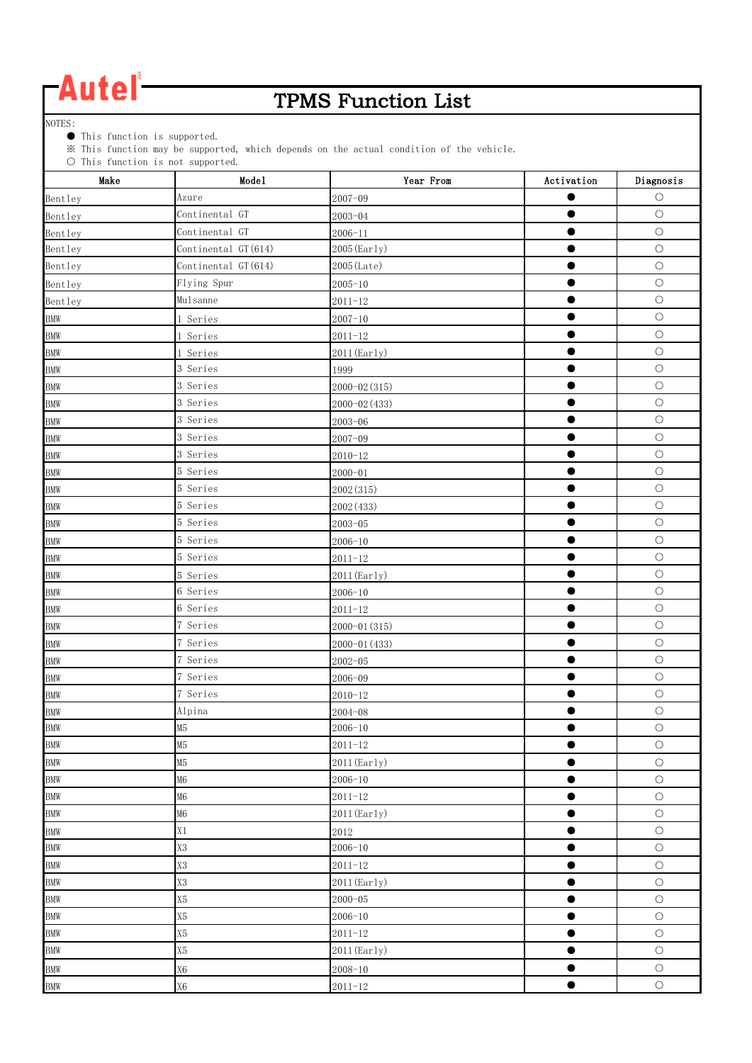### TPMS Function List

NOTES:

● This function is supported.

※ This function may be supported, which depends on the actual condition of the vehicle.

| $\cup$ inis function is not supported.<br>Make | Mode1               | Year From     | Activation | Diagnosis  |
|------------------------------------------------|---------------------|---------------|------------|------------|
| Bentley                                        | Azure               | $2007 - 09$   |            | $\circ$    |
| Bentley                                        | Continental GT      | $2003 - 04$   |            | $\bigcirc$ |
| Bentley                                        | Continental GT      | $2006 - 11$   |            | $\bigcirc$ |
| Bentley                                        | Continental GT(614) | 2005 (Early)  |            | $\bigcirc$ |
| Bentley                                        | Continental GT(614) | 2005 (Late)   | ●          | $\bigcirc$ |
| Bentley                                        | Flying Spur         | $2005 - 10$   | $\bullet$  | $\bigcirc$ |
| Bentley                                        | Mulsanne            | $2011 - 12$   |            | $\bigcirc$ |
| <b>BMW</b>                                     | 1 Series            | $2007 - 10$   |            | $\bigcirc$ |
| <b>BMW</b>                                     | 1 Series            | $2011 - 12$   | $\bullet$  | $\circ$    |
| <b>BMW</b>                                     | 1 Series            | 2011 (Early)  |            | $\circ$    |
| <b>BMW</b>                                     | 3 Series            | 1999          |            | $\bigcirc$ |
| <b>BMW</b>                                     | 3 Series            | 2000-02 (315) |            | $\bigcirc$ |
| <b>BMW</b>                                     | 3 Series            | 2000-02 (433) |            | $\bigcirc$ |
| <b>BMW</b>                                     | 3 Series            | $2003 - 06$   |            | $\circ$    |
| <b>BMW</b>                                     | 3 Series            | $2007 - 09$   | $\bullet$  | $\bigcirc$ |
| <b>BMW</b>                                     | 3 Series            | $2010 - 12$   | $\bullet$  | $\bigcirc$ |
| <b>BMW</b>                                     | 5 Series            | $2000 - 01$   |            | $\circ$    |
| <b>BMW</b>                                     | 5 Series            | 2002(315)     | ●          | $\bigcirc$ |
| <b>BMW</b>                                     | 5 Series            | 2002 (433)    |            | $\bigcirc$ |
| <b>BMW</b>                                     | 5 Series            | $2003 - 05$   | $\bullet$  | $\bigcirc$ |
| <b>BMW</b>                                     | 5 Series            | $2006 - 10$   |            | $\bigcirc$ |
| <b>BMW</b>                                     | 5 Series            | $2011 - 12$   | 0          | $\bigcirc$ |
| <b>BMW</b>                                     | 5 Series            | 2011 (Early)  |            | $\bigcirc$ |
| <b>BMW</b>                                     | 6 Series            | $2006 - 10$   | $\bullet$  | $\bigcirc$ |
| <b>BMW</b>                                     | 6 Series            | $2011 - 12$   |            | $\bigcirc$ |
| <b>BMW</b>                                     | 7 Series            | 2000-01 (315) |            | $\bigcirc$ |
| <b>BMW</b>                                     | 7 Series            | 2000-01 (433) |            | $\bigcirc$ |
| <b>BMW</b>                                     | 7 Series            | $2002 - 05$   | ●          | $\bigcirc$ |
| <b>BMW</b>                                     | 7 Series            | 2006-09       | ●          | $\bigcirc$ |
| <b>BMW</b>                                     | 7 Series            | $2010 - 12$   |            | $\bigcirc$ |
| <b>BMW</b>                                     | Alpina              | $2004 - 08$   | œ          | $\bigcirc$ |
| <b>BMW</b>                                     | M5                  | $2006 - 10$   |            | $\bigcirc$ |
| <b>BMW</b>                                     | M <sub>5</sub>      | $2011 - 12$   | ●          | $\bigcirc$ |
| <b>BMW</b>                                     | M5                  | 2011 (Early)  |            | $\bigcirc$ |
| <b>BMW</b>                                     | M <sub>6</sub>      | $2006 - 10$   | $\bullet$  | $\bigcirc$ |
| <b>BMW</b>                                     | M <sub>6</sub>      | $2011 - 12$   | $\bullet$  | $\circ$    |
| <b>BMW</b>                                     | M6                  | 2011 (Early)  | $\bullet$  | $\bigcirc$ |
| <b>BMW</b>                                     | X1                  | 2012          | $\bullet$  | $\bigcirc$ |
| <b>BMW</b>                                     | X3                  | $2006 - 10$   | $\bullet$  | $\bigcirc$ |
| <b>BMW</b>                                     | X3                  | $2011 - 12$   | $\bullet$  | $\bigcirc$ |
| <b>BMW</b>                                     | $\rm X3$            | 2011 (Early)  | $\bullet$  | $\bigcirc$ |
| <b>BMW</b>                                     | $\rm X5$            | $2000 - 05$   |            | $\bigcirc$ |
| <b>BMW</b>                                     | X5                  | $2006 - 10$   | $\bullet$  | $\bigcirc$ |
| <b>BMW</b>                                     | X5                  | $2011 - 12$   | $\bullet$  | $\circ$    |
| <b>BMW</b>                                     | X5                  | 2011 (Early)  | 0          | $\bigcirc$ |
| <b>BMW</b>                                     | $\rm X6$            | $2008 - 10$   |            | $\bigcirc$ |
| <b>BMW</b>                                     | X <sub>6</sub>      | $2011 - 12$   | $\bullet$  | $\bigcirc$ |
|                                                |                     |               |            |            |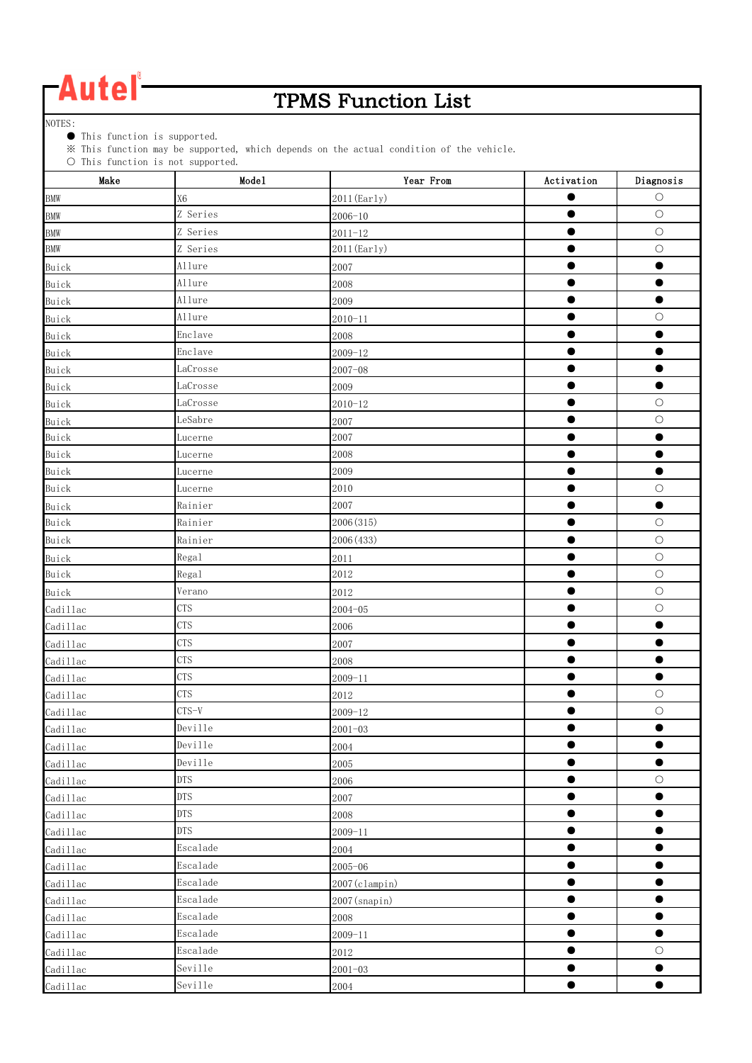### TPMS Function List

NOTES:

● This function is supported.

※ This function may be supported, which depends on the actual condition of the vehicle.

| $\cup$ Inis function is not supported.<br>Make | Mode1          | Year From        | Activation | Diagnosis  |
|------------------------------------------------|----------------|------------------|------------|------------|
| <b>BMW</b>                                     | X <sub>6</sub> | $2011$ (Early)   |            | $\circ$    |
| <b>BMW</b>                                     | Z Series       | $2006 - 10$      | ●          | $\bigcirc$ |
| <b>BMW</b>                                     | Z Series       | $2011 - 12$      |            | $\bigcirc$ |
| <b>BMW</b>                                     | Z Series       | 2011 (Early)     |            | $\bigcirc$ |
| Buick                                          | Allure         | 2007             |            | O          |
| Buick                                          | Allure         | 2008             |            | O          |
| Buick                                          | Allure         | 2009             |            |            |
| Buick                                          | Allure         | $2010 - 11$      | $\bullet$  | $\bigcirc$ |
| Buick                                          | Enclave        | 2008             | $\bullet$  | $\bullet$  |
| Buick                                          | Enclave        | $2009 - 12$      | $\bullet$  | $\bullet$  |
| Buick                                          | LaCrosse       | $2007 - 08$      |            |            |
| Buick                                          | LaCrosse       | 2009             | $\bullet$  | $\bullet$  |
| Buick                                          | LaCrosse       | $2010 - 12$      |            | $\bigcirc$ |
| Buick                                          | LeSabre        | 2007             | $\bullet$  | $\bigcirc$ |
| Buick                                          | Lucerne        | 2007             |            | $\bullet$  |
| Buick                                          | Lucerne        | 2008             | $\bullet$  | $\bullet$  |
| Buick                                          | Lucerne        | 2009             |            | $\bullet$  |
| Buick                                          | Lucerne        | 2010             |            | $\bigcirc$ |
| Buick                                          | Rainier        | 2007             |            | $\bullet$  |
| Buick                                          | Rainier        | 2006 (315)       | $\bullet$  | $\bigcirc$ |
| Buick                                          | Rainier        | 2006 (433)       | $\bullet$  | $\bigcirc$ |
| Buick                                          | Regal          | 2011             | $\bullet$  | $\bigcirc$ |
| Buick                                          | Regal          | 2012             | $\bullet$  | $\bigcirc$ |
| Buick                                          | Verano         | 2012             | $\bullet$  | $\circ$    |
| Cadillac                                       | <b>CTS</b>     | $2004 - 05$      | $\bullet$  | $\bigcirc$ |
| Cadillac                                       | <b>CTS</b>     | 2006             |            | O          |
| Cadillac                                       | <b>CTS</b>     | 2007             | ●          |            |
| Cadillac                                       | <b>CTS</b>     | 2008             | 0          | ●          |
| Cadillac                                       | <b>CTS</b>     | $2009 - 11$      | Œ          | $\bullet$  |
| Cadillac                                       | <b>CTS</b>     | 2012             | O          | $\bigcirc$ |
| Cadillac                                       | $CTS-V$        | $2009 - 12$      | $\bullet$  | $\bigcirc$ |
| Cadillac                                       | Deville        | $2001 - 03$      |            |            |
| Cadillac                                       | Deville        | 2004             | $\bullet$  | $\bullet$  |
| Cadillac                                       | Deville        | 2005             |            | $\bullet$  |
| Cadillac                                       | <b>DTS</b>     | 2006             | $\bullet$  | $\bigcirc$ |
| Cadillac                                       | <b>DTS</b>     | 2007             | ●          | $\bullet$  |
| Cadillac                                       | <b>DTS</b>     | 2008             | 0          | $\bullet$  |
| Cadillac                                       | <b>DTS</b>     | $2009 - 11$      | œ          | $\bullet$  |
| Cadillac                                       | Escalade       | 2004             | ●          | $\bullet$  |
| Cadillac                                       | Escalade       | $2005 - 06$      |            | 0          |
| Cadillac                                       | Escalade       | $2007$ (clampin) | $\bullet$  | $\bullet$  |
| Cadillac                                       | Escalade       | $2007$ (snapin)  | $\bullet$  | $\bullet$  |
| Cadillac                                       | Escalade       | 2008             | $\bullet$  | $\bullet$  |
| Cadillac                                       | Escalade       | $2009 - 11$      | $\bullet$  | $\bullet$  |
| Cadillac                                       | Escalade       | 2012             |            | $\bigcirc$ |
| Cadillac                                       | Seville        | $2001 - 03$      | œ          |            |
|                                                | Seville        | 2004             | $\bullet$  | $\bullet$  |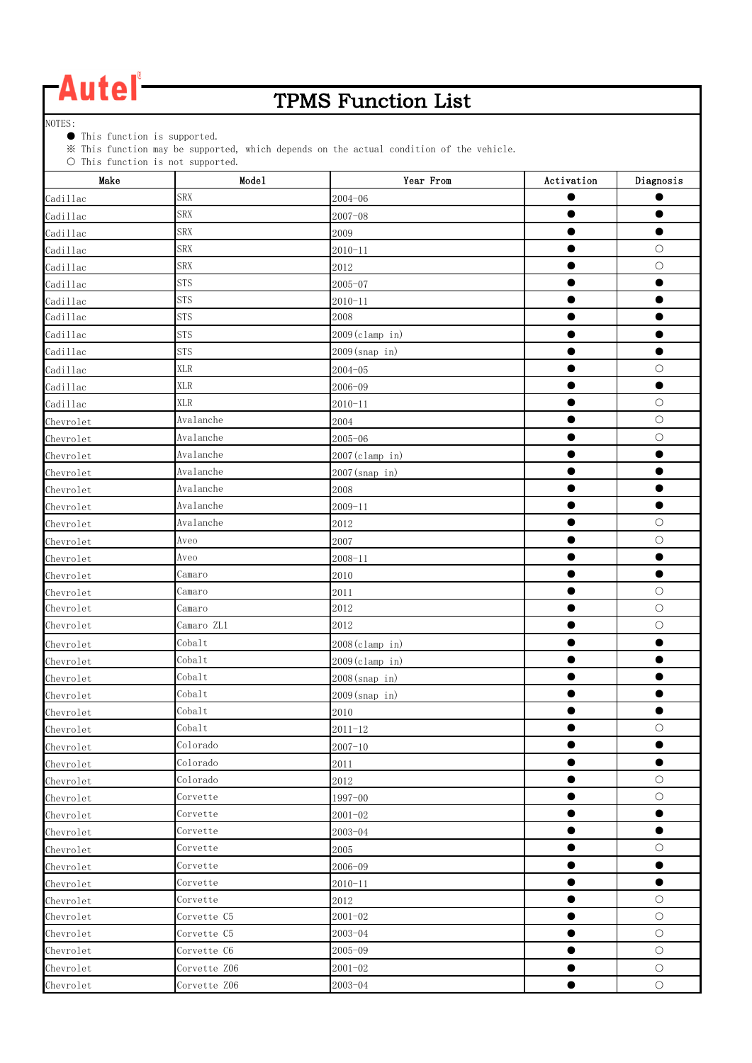### TPMS Function List

NOTES:

● This function is supported.

※ This function may be supported, which depends on the actual condition of the vehicle.

| Make      | $\cup$ THIS TUNCTION IS NOT Supported.<br>Mode1 | Year From        | Activation | Diagnosis  |
|-----------|-------------------------------------------------|------------------|------------|------------|
| Cadillac  | <b>SRX</b>                                      | $2004 - 06$      |            |            |
| Cadillac  | <b>SRX</b>                                      | $2007 - 08$      |            |            |
| Cadillac  | <b>SRX</b>                                      | 2009             |            |            |
| Cadillac  | <b>SRX</b>                                      | $2010 - 11$      |            | $\bigcirc$ |
| Cadillac  | <b>SRX</b>                                      | 2012             |            | $\circ$    |
| Cadillac  | <b>STS</b>                                      | $2005 - 07$      |            |            |
| Cadillac  | <b>STS</b>                                      | $2010 - 11$      |            |            |
| Cadillac  | <b>STS</b>                                      | 2008             |            |            |
| Cadillac  | <b>STS</b>                                      | 2009(clamp in)   | $\bullet$  | $\bullet$  |
| Cadillac  | <b>STS</b>                                      | $2009$ (snap in) | ●          | $\bullet$  |
| Cadillac  | <b>XLR</b>                                      | $2004 - 05$      |            | $\bigcirc$ |
| Cadillac  | <b>XLR</b>                                      | $2006 - 09$      | -          | $\bullet$  |
| Cadillac  | <b>XLR</b>                                      | $2010 - 11$      | ●          | $\bigcirc$ |
| Chevrolet | Avalanche                                       | 2004             | ●          | $\bigcirc$ |
| Chevrolet | Avalanche                                       | $2005 - 06$      |            | $\bigcirc$ |
| Chevrolet | Avalanche                                       | 2007(clamp in)   | ●          |            |
| Chevrolet | Avalanche                                       | $2007$ (snap in) |            |            |
| Chevrolet | Avalanche                                       | 2008             |            |            |
| Chevrolet | Avalanche                                       | $2009 - 11$      |            |            |
| Chevrolet | Avalanche                                       | 2012             |            | $\bigcirc$ |
| Chevrolet | Aveo                                            | 2007             |            | $\bigcirc$ |
| Chevrolet | Aveo                                            | $2008 - 11$      |            | $\bullet$  |
| Chevrolet | Camaro                                          | 2010             |            | $\bullet$  |
| Chevrolet | Camaro                                          | 2011             |            | $\circ$    |
| Chevrolet | Camaro                                          | 2012             |            | $\bigcirc$ |
| Chevrolet | Camaro ZL1                                      | 2012             |            | $\bigcirc$ |
| Chevrolet | Cobalt                                          | 2008(clamp in)   |            |            |
| Chevrolet | Cobalt                                          | 2009(c1amp in)   |            |            |
| Chevrolet | Cobalt                                          | 2008(snap in)    |            |            |
| Chevrolet | Cobalt                                          | $2009$ (snap in) | 0          |            |
| Chevrolet | Cobalt                                          | 2010             |            |            |
| Chevrolet | $\cosh 1t$                                      | $2011 - 12$      | ●          | $\circ$    |
| Chevrolet | Colorado                                        | $2007 - 10$      | ●          | $\bullet$  |
| Chevrolet | Colorado                                        | $2011\,$         |            |            |
| Chevrolet | Colorado                                        | 2012             | -          | $\bigcirc$ |
| Chevrolet | Corvette                                        | $1997 - 00$      | $\bullet$  | $\bigcirc$ |
| Chevrolet | Corvette                                        | $2001 - 02$      |            | ●          |
| Chevrolet | Corvette                                        | 2003-04          |            |            |
| Chevrolet | Corvette                                        | 2005             |            | $\circ$    |
| Chevrolet | Corvette                                        | $2006 - 09$      |            |            |
| Chevrolet | Corvette                                        | $2010 - 11$      | 0          | $\bullet$  |
| Chevrolet | Corvette                                        | 2012             | $\bullet$  | $\bigcirc$ |
| Chevrolet | Corvette C5                                     | $2001 - 02$      | $\bullet$  | $\bigcirc$ |
| Chevrolet | Corvette C5                                     | 2003-04          | $\bullet$  | $\bigcirc$ |
| Chevrolet | Corvette C6                                     | $2005 - 09$      | 0          | $\bigcirc$ |
| Chevrolet | Corvette Z06                                    | $2001 - 02$      |            | $\bigcirc$ |
| Chevrolet | Corvette Z06                                    | $2003 - 04$      | $\bullet$  | $\bigcirc$ |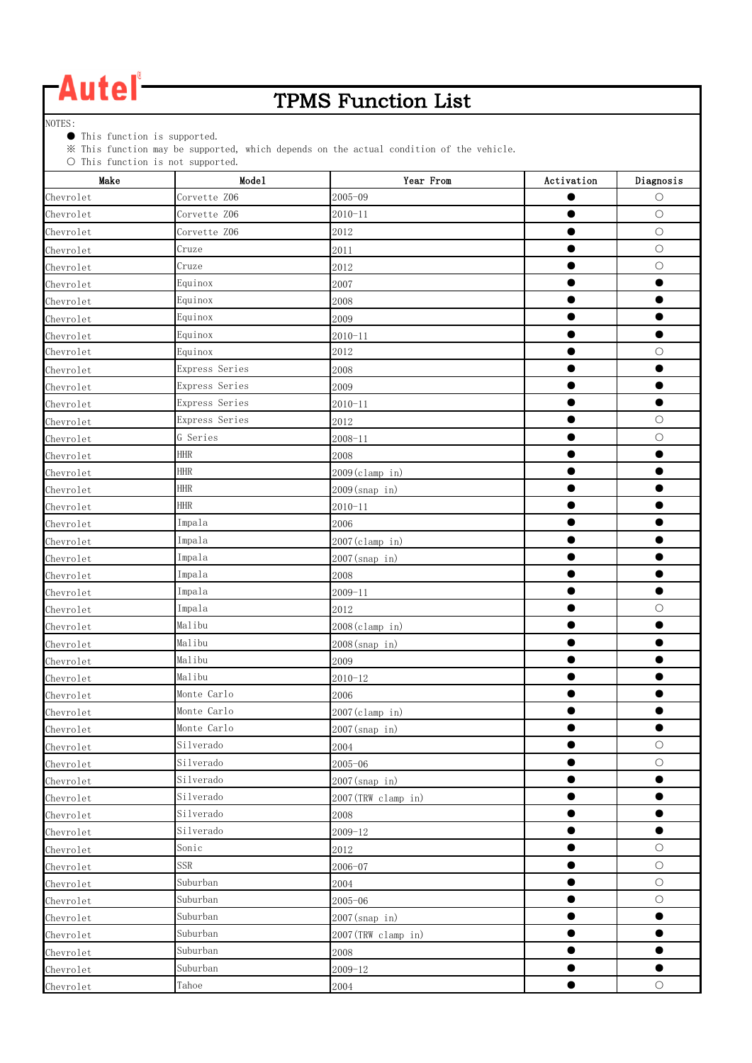### TPMS Function List

NOTES:

● This function is supported.

※ This function may be supported, which depends on the actual condition of the vehicle.

| Make      | $\circ$ into function is not supported.<br>Mode1 | Year From          | Activation | Diagnosis  |
|-----------|--------------------------------------------------|--------------------|------------|------------|
| Chevrolet | Corvette Z06                                     | $2005 - 09$        | $\bullet$  | $\bigcirc$ |
| Chevrolet | Corvette Z06                                     | $2010 - 11$        | $\bullet$  | $\circ$    |
| Chevrolet | Corvette Z06                                     | 2012               | ●          | $\circ$    |
| Chevrolet | Cruze                                            | 2011               |            | $\bigcirc$ |
| Chevrolet | Cruze                                            | 2012               |            | $\bigcirc$ |
| Chevrolet | Equinox                                          | 2007               |            |            |
| Chevrolet | Equinox                                          | 2008               |            |            |
| Chevrolet | Equinox                                          | 2009               |            |            |
| Chevrolet | Equinox                                          | $2010 - 11$        | $\bullet$  | $\bullet$  |
| Chevrolet | Equinox                                          | 2012               |            | $\bigcirc$ |
| Chevrolet | Express Series                                   | 2008               |            |            |
| Chevrolet | Express Series                                   | 2009               |            |            |
| Chevrolet | Express Series                                   | $2010 - 11$        |            | $\bullet$  |
| Chevrolet | Express Series                                   | 2012               |            | $\bigcirc$ |
| Chevrolet | G Series                                         | $2008 - 11$        |            | $\bigcirc$ |
| Chevrolet | <b>HHR</b>                                       | 2008               |            |            |
| Chevrolet | <b>HHR</b>                                       | $2009$ (clamp in)  |            |            |
| Chevrolet | <b>HHR</b>                                       | 2009(snap in)      |            |            |
| Chevrolet | <b>HHR</b>                                       | $2010 - 11$        |            |            |
| Chevrolet | Impala                                           | 2006               |            |            |
| Chevrolet | Impala                                           | 2007 (clamp in)    | $\bullet$  |            |
| Chevrolet | Impala                                           | $2007$ (snap in)   | $\bullet$  | ●          |
| Chevrolet | Impala                                           | 2008               |            |            |
| Chevrolet | Impala                                           | $2009 - 11$        |            | ●          |
| Chevrolet | Impala                                           | 2012               |            | $\circ$    |
| Chevrolet | Malibu                                           | 2008(clamp in)     |            |            |
| Chevrolet | Malibu                                           | $2008$ (snap in)   |            |            |
| Chevrolet | Malibu                                           | 2009               |            |            |
| Chevrolet | Malibu                                           | $2010 - 12$        |            |            |
| Chevrolet | Monte Carlo                                      | 2006               |            |            |
| Chevrolet | Monte Carlo                                      | 2007(clamp in)     |            |            |
| Chevrolet | Monte Carlo                                      | $2007$ (snap in)   |            | ●          |
| Chevrolet | Silverado                                        | 2004               | $\bullet$  | $\bigcirc$ |
| Chevrolet | Silverado                                        | $2005 - 06$        | $\bullet$  | $\bigcirc$ |
| Chevrolet | Silverado                                        | $2007$ (snap in)   |            | $\bullet$  |
| Chevrolet | Silverado                                        | 2007(TRW clamp in) | $\bullet$  | $\bullet$  |
| Chevrolet | Silverado                                        | 2008               | $\bullet$  | $\bullet$  |
| Chevrolet | Silverado                                        | $2009 - 12$        |            | 0          |
| Chevrolet | Sonic                                            | 2012               |            | $\bigcirc$ |
| Chevrolet | SSR                                              | $2006 - 07$        |            | $\bigcirc$ |
| Chevrolet | Suburban                                         | 2004               |            | $\bigcirc$ |
| Chevrolet | Suburban                                         | $2005 - 06$        | $\bullet$  | $\bigcirc$ |
| Chevrolet | Suburban                                         | 2007(snap_in)      | $\bullet$  | $\bullet$  |
| Chevrolet | Suburban                                         | 2007(TRW clamp in) | $\bullet$  | $\bullet$  |
| Chevrolet | Suburban                                         | 2008               | $\bullet$  | $\bullet$  |
| Chevrolet | Suburban                                         | $2009 - 12$        |            |            |
| Chevrolet | Tahoe                                            | 2004               |            | $\bigcirc$ |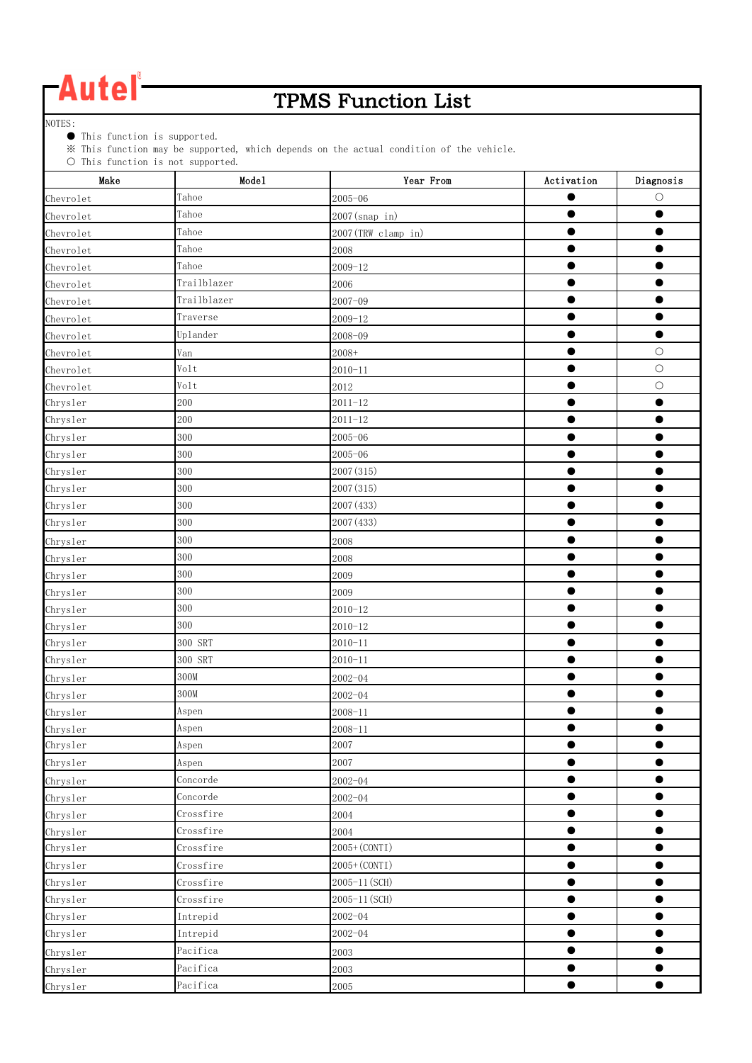### TPMS Function List

NOTES:

● This function is supported.

※ This function may be supported, which depends on the actual condition of the vehicle.

| Make      | Mode1       | Year From          | Activation | $\label{eq:diagonal} \text{Diagonosis}$ |
|-----------|-------------|--------------------|------------|-----------------------------------------|
| Chevrolet | Tahoe       | $2005 - 06$        |            | O                                       |
| Chevrolet | Tahoe       | 2007(snap in)      | ●          |                                         |
| Chevrolet | Tahoe       | 2007(TRW clamp in) |            |                                         |
| Chevrolet | Tahoe       | 2008               |            |                                         |
| Chevrolet | Tahoe       | $2009 - 12$        |            |                                         |
| Chevrolet | Trailblazer | 2006               |            |                                         |
| Chevrolet | Trailblazer | $2007 - 09$        |            |                                         |
| Chevrolet | Traverse    | $2009 - 12$        | $\bullet$  | $\bullet$                               |
| Chevrolet | Uplander    | 2008-09            |            | $\bullet$                               |
| Chevrolet | Van         | $2008+$            |            | $\bigcirc$                              |
| Chevrolet | Volt        | $2010 - 11$        |            | $\bigcirc$                              |
| Chevrolet | Volt        | 2012               | ●          | $\circ$                                 |
| Chrysler  | 200         | $2011 - 12$        |            |                                         |
| Chrysler  | 200         | $2011 - 12$        | ●          | ●                                       |
| Chrysler  | 300         | $2005 - 06$        | $\bullet$  | $\bullet$                               |
| Chrysler  | 300         | $2005 - 06$        | $\bullet$  |                                         |
| Chrysler  | 300         | 2007 (315)         | ●          |                                         |
| Chrysler  | 300         | 2007 (315)         |            |                                         |
| Chrysler  | 300         | 2007 (433)         |            |                                         |
| Chrysler  | 300         | 2007 (433)         | ●          |                                         |
| Chrysler  | 300         | 2008               |            |                                         |
| Chrysler  | 300         | 2008               |            |                                         |
| Chrysler  | 300         | 2009               | ۰          |                                         |
| Chrysler  | 300         | 2009               |            |                                         |
| Chrysler  | 300         | $2010 - 12$        |            |                                         |
| Chrysler  | 300         | $2010 - 12$        |            |                                         |
| Chrysler  | 300 SRT     | $2010 - 11$        | $\bullet$  | $\bullet$                               |
| Chrysler  | 300 SRT     | $2010 - 11$        |            |                                         |
| Chrysler  | 300M        | $2002 - 04$        |            |                                         |
| Chrysler  | 300M        | $2002 - 04$        |            |                                         |
| Chrysler  | Aspen       | $2008 - 11$        | $\bullet$  | $\bullet$                               |
| Chrysler  | Aspen       | $2008 - 11$        |            |                                         |
| Chrysler  | Aspen       | 2007               | $\bullet$  | $\bullet$                               |
| Chrysler  | Aspen       | 2007               | $\bullet$  | $\bullet$                               |
| Chrysler  | Concorde    | $2002 - 04$        | $\bullet$  | $\bullet$                               |
| Chrysler  | Concorde    | $2002 - 04$        | $\bullet$  | $\bullet$                               |
| Chrysler  | Crossfire   | 2004               | 0          | 0                                       |
| Chrysler  | Crossfire   | 2004               |            |                                         |
| Chrysler  | Crossfire   | 2005+ (CONTI)      | $\bullet$  | $\bullet$                               |
| Chrysler  | Crossfire   | 2005+ (CONTI)      | $\bullet$  | $\bullet$                               |
| Chrysler  | Crossfire   | 2005-11 (SCH)      |            |                                         |
| Chrysler  | Crossfire   | 2005-11 (SCH)      |            |                                         |
| Chrysler  | Intrepid    | $2002 - 04$        | $\bullet$  | $\bullet$                               |
| Chrysler  | Intrepid    | $2002 - 04$        |            |                                         |
| Chrysler  | Pacifica    | 2003               |            |                                         |
| Chrysler  | Pacifica    | 2003               |            |                                         |
| Chrysler  | Pacifica    | 2005               | $\bullet$  | $\bullet$                               |
|           |             |                    |            |                                         |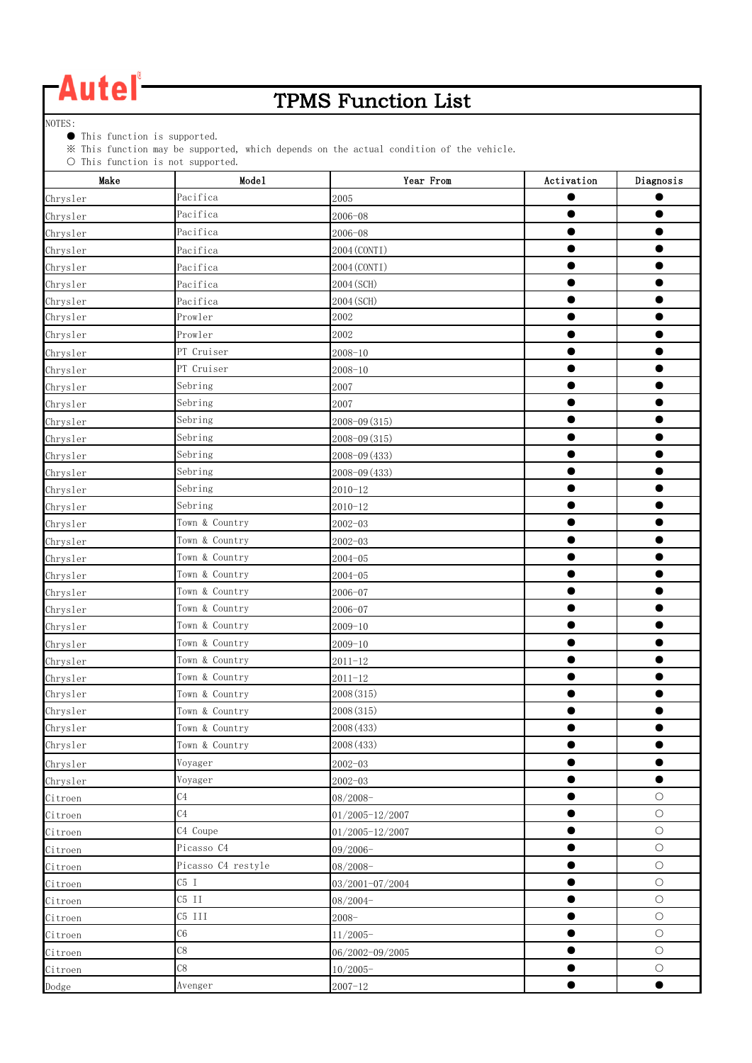### TPMS Function List

NOTES:

● This function is supported.

※ This function may be supported, which depends on the actual condition of the vehicle.

| $\cup$ This function is not supported.<br>Make | Mode1              | Year From       | Activation | Diagnosis  |
|------------------------------------------------|--------------------|-----------------|------------|------------|
| Chrysler                                       | Pacifica           | 2005            |            |            |
| Chrysler                                       | Pacifica           | $2006 - 08$     |            |            |
| Chrysler                                       | Pacifica           | $2006 - 08$     |            |            |
| Chrysler                                       | Pacifica           | 2004 (CONTI)    | ●          |            |
| Chrysler                                       | Pacifica           | 2004 (CONTI)    |            |            |
| Chrysler                                       | Pacifica           | 2004 (SCH)      |            |            |
| Chrysler                                       | Pacifica           | 2004 (SCH)      |            |            |
| Chrysler                                       | Prowler            | 2002            |            |            |
| Chrysler                                       | Prowler            | 2002            |            |            |
| Chrysler                                       | PT Cruiser         | $2008 - 10$     |            |            |
| Chrysler                                       | PT Cruiser         | $2008 - 10$     |            |            |
| Chrysler                                       | Sebring            | 2007            |            |            |
| Chrysler                                       | Sebring            | 2007            |            |            |
| Chrysler                                       | Sebring            | 2008-09 (315)   |            |            |
| Chrysler                                       | Sebring            | 2008-09 (315)   | $\bullet$  | $\bullet$  |
| Chrysler                                       | Sebring            | 2008-09 (433)   | $\bullet$  |            |
| Chrysler                                       | Sebring            | 2008-09 (433)   | ●          |            |
| Chrysler                                       | Sebring            | $2010 - 12$     |            |            |
| Chrysler                                       | Sebring            | $2010 - 12$     | ●          | ●          |
| Chrysler                                       | Town & Country     | $2002 - 03$     |            |            |
| Chrysler                                       | Town & Country     | $2002 - 03$     |            |            |
| Chrysler                                       | Town & Country     | $2004 - 05$     |            |            |
| Chrysler                                       | Town & Country     | $2004 - 05$     | $\bullet$  |            |
| Chrysler                                       | Town & Country     | 2006-07         |            |            |
| Chrysler                                       | Town & Country     | $2006 - 07$     |            |            |
| Chrysler                                       | Town & Country     | $2009 - 10$     |            |            |
| Chrysler                                       | Town & Country     | $2009 - 10$     | ●          |            |
| Chrysler                                       | Town & Country     | $2011 - 12$     |            |            |
| Chrysler                                       | Town & Country     | $2011 - 12$     |            |            |
| Chrysler                                       | Town & Country     | 2008 (315)      |            |            |
| Chrysler                                       | Town & Country     | 2008 (315)      | ●          |            |
| Chrysler                                       | Town & Country     | 2008 (433)      |            |            |
| Chrysler                                       | Town & Country     | 2008 (433)      |            |            |
| Chrysler                                       | Voyager            | $2002 - 03$     |            | $\bullet$  |
| Chrysler                                       | Voyager            | $2002 - 03$     | ●          | $\bullet$  |
| Citroen                                        | C <sub>4</sub>     | $08/2008 -$     | $\bullet$  | $\bigcirc$ |
| Citroen                                        | C <sub>4</sub>     | 01/2005-12/2007 |            | $\bigcirc$ |
| Citroen                                        | C4 Coupe           | 01/2005-12/2007 | $\bullet$  | $\bigcirc$ |
| Citroen                                        | Picasso C4         | $09/2006 -$     | $\bullet$  | $\bigcirc$ |
| Citroen                                        | Picasso C4 restyle | 08/2008-        | $\bullet$  | $\bigcirc$ |
| Citroen                                        | C5 I               | 03/2001-07/2004 |            | $\bigcirc$ |
| Citroen                                        | $C5$ II            | $08/2004 -$     | $\bullet$  | $\bigcirc$ |
| Citroen                                        | C5 III             | $2008 -$        | $\bullet$  | $\bigcirc$ |
| Citroen                                        | C6                 | $11/2005-$      |            | $\bigcirc$ |
| Citroen                                        | C8                 | 06/2002-09/2005 |            | $\bigcirc$ |
| Citroen                                        | C8                 | $10/2005 -$     | $\bullet$  | $\bigcirc$ |
| Dodge                                          | Avenger            | $2007 - 12$     |            | $\bullet$  |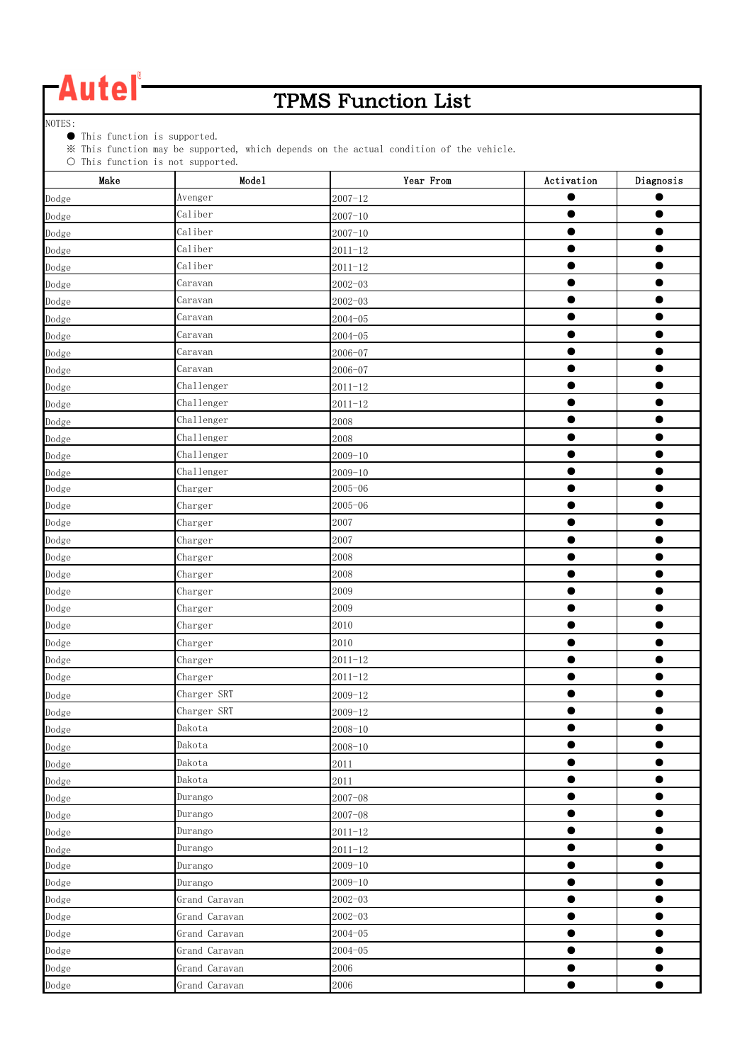### TPMS Function List

NOTES:

● This function is supported.

※ This function may be supported, which depends on the actual condition of the vehicle.

| $\cup$ inis function is not supported.<br>Make | Mode1         | Year From   | Activation | Diagnosis |
|------------------------------------------------|---------------|-------------|------------|-----------|
| Dodge                                          | Avenger       | $2007 - 12$ |            |           |
| Dodge                                          | Caliber       | $2007 - 10$ | $\bullet$  |           |
| Dodge                                          | Caliber       | $2007 - 10$ | ●          |           |
| Dodge                                          | Caliber       | $2011 - 12$ | $\bullet$  |           |
| Dodge                                          | Caliber       | $2011 - 12$ | $\bullet$  | ●         |
| Dodge                                          | Caravan       | $2002 - 03$ | $\bullet$  | ●         |
| Dodge                                          | Caravan       | $2002 - 03$ | ●          |           |
| Dodge                                          | Caravan       | $2004 - 05$ | ●          |           |
| Dodge                                          | Caravan       | $2004 - 05$ | $\bullet$  |           |
| Dodge                                          | Caravan       | $2006 - 07$ |            |           |
| Dodge                                          | Caravan       | $2006 - 07$ |            |           |
| Dodge                                          | Challenger    | $2011 - 12$ | ●          |           |
| Dodge                                          | Challenger    | $2011 - 12$ | 0          |           |
| Dodge                                          | Challenger    | 2008        | $\bullet$  |           |
| Dodge                                          | Challenger    | 2008        | 0          |           |
| Dodge                                          | Challenger    | $2009 - 10$ | $\bullet$  | $\bullet$ |
| Dodge                                          | Challenger    | $2009 - 10$ | $\bullet$  |           |
| Dodge                                          | Charger       | $2005 - 06$ | $\bullet$  |           |
| Dodge                                          | Charger       | $2005 - 06$ |            |           |
| Dodge                                          | Charger       | 2007        | $\bullet$  | ●         |
| Dodge                                          | Charger       | 2007        | $\bullet$  |           |
| Dodge                                          | Charger       | 2008        | 0          |           |
| Dodge                                          | Charger       | 2008        |            |           |
| Dodge                                          | Charger       | 2009        | $\bullet$  | ●         |
| Dodge                                          | Charger       | 2009        |            |           |
| Dodge                                          | Charger       | 2010        | ●          |           |
| Dodge                                          | Charger       | 2010        | ●          |           |
| Dodge                                          | Charger       | $2011 - 12$ | $\bullet$  |           |
| Dodge                                          | Charger       | $2011 - 12$ | $\bullet$  |           |
| Dodge                                          | Charger SRT   | $2009 - 12$ |            |           |
| Dodge                                          | Charger SRT   | $2009 - 12$ | e          |           |
| Dodge                                          | Dakota        | $2008 - 10$ |            |           |
| Dodge                                          | Dakota        | $2008 - 10$ |            |           |
| Dodge                                          | Dakota        | 2011        | $\bullet$  |           |
| Dodge                                          | Dakota        | 2011        | $\bullet$  | $\bullet$ |
| Dodge                                          | Durango       | $2007 - 08$ | $\bullet$  | $\bullet$ |
| Dodge                                          | Durango       | $2007 - 08$ | $\bullet$  | $\bullet$ |
| Dodge                                          | Durango       | $2011 - 12$ |            |           |
| Dodge                                          | Durango       | $2011 - 12$ | $\bullet$  | $\bullet$ |
| Dodge                                          | Durango       | $2009 - 10$ | $\bullet$  | $\bullet$ |
| Dodge                                          | Durango       | $2009 - 10$ | $\bullet$  | $\bullet$ |
| Dodge                                          | Grand Caravan | $2002 - 03$ | $\bullet$  | $\bullet$ |
| Dodge                                          | Grand Caravan | $2002 - 03$ | $\bullet$  | $\bullet$ |
| Dodge                                          | Grand Caravan | $2004 - 05$ | $\bullet$  | $\bullet$ |
| Dodge                                          | Grand Caravan | $2004 - 05$ | ●          |           |
| Dodge                                          | Grand Caravan | 2006        | $\bullet$  |           |
| Dodge                                          | Grand Caravan | 2006        | $\bullet$  | $\bullet$ |
|                                                |               |             |            |           |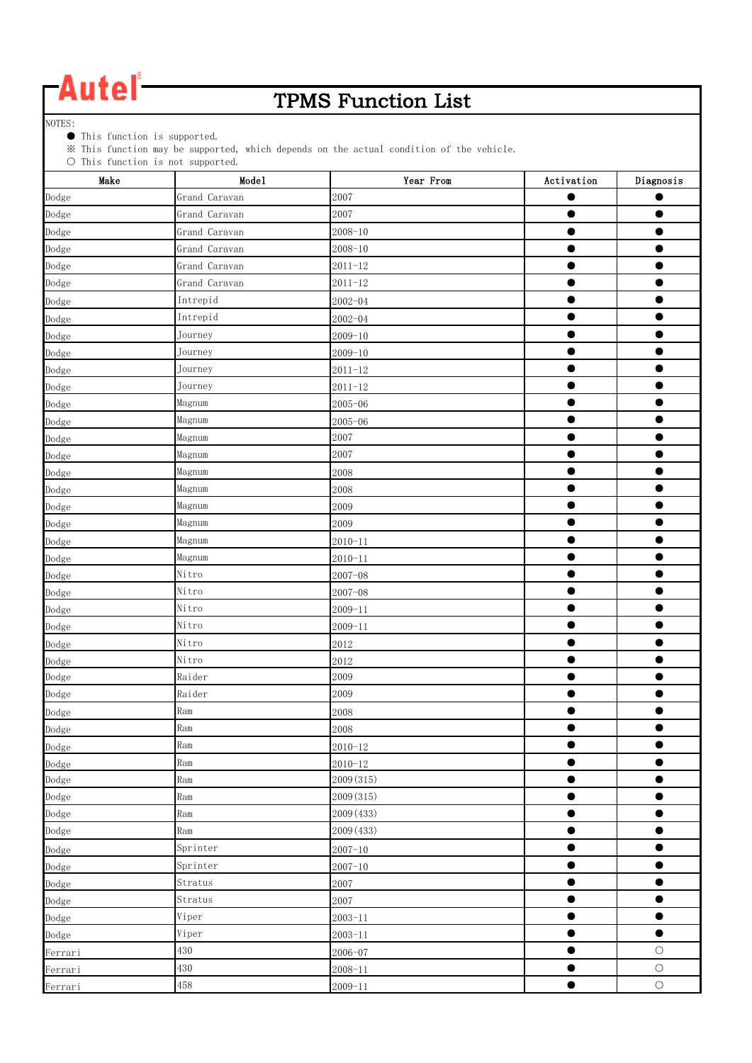### TPMS Function List

NOTES:

● This function is supported.

※ This function may be supported, which depends on the actual condition of the vehicle.

| $\cup$ inis function is not supported.<br>Make | Mode1         | Year From   | Activation | Diagnosis  |
|------------------------------------------------|---------------|-------------|------------|------------|
| Dodge                                          | Grand Caravan | 2007        |            |            |
| Dodge                                          | Grand Caravan | 2007        |            |            |
| Dodge                                          | Grand Caravan | $2008 - 10$ | O          |            |
| Dodge                                          | Grand Caravan | $2008 - 10$ | $\bullet$  |            |
| Dodge                                          | Grand Caravan | $2011 - 12$ | $\bullet$  |            |
| Dodge                                          | Grand Caravan | $2011 - 12$ | $\bullet$  | ●          |
| Dodge                                          | Intrepid      | $2002 - 04$ | 0          |            |
| Dodge                                          | Intrepid      | $2002 - 04$ | ●          |            |
| Dodge                                          | Journey       | $2009 - 10$ | $\bullet$  |            |
| Dodge                                          | Journey       | $2009 - 10$ |            |            |
| Dodge                                          | Journey       | $2011 - 12$ |            |            |
| Dodge                                          | Journey       | $2011 - 12$ | ●          |            |
| Dodge                                          | Magnum        | $2005 - 06$ |            |            |
| Dodge                                          | Magnum        | $2005 - 06$ | ●          |            |
| Dodge                                          | Magnum        | 2007        |            |            |
| Dodge                                          | Magnum        | 2007        | $\bullet$  | $\bullet$  |
| Dodge                                          | Magnum        | 2008        | ●          |            |
| Dodge                                          | Magnum        | 2008        | ●          |            |
| Dodge                                          | Magnum        | 2009        |            |            |
| Dodge                                          | Magnum        | 2009        | ●          |            |
| Dodge                                          | Magnum        | $2010 - 11$ |            |            |
| Dodge                                          | Magnum        | $2010 - 11$ | 0          |            |
| Dodge                                          | Nitro         | $2007 - 08$ |            |            |
| Dodge                                          | Nitro         | $2007 - 08$ | $\bullet$  |            |
| Dodge                                          | Nitro         | $2009 - 11$ |            |            |
| Dodge                                          | Nitro         | $2009 - 11$ | ●          |            |
| Dodge                                          | Nitro         | 2012        |            |            |
| Dodge                                          | Nitro         | 2012        | $\bullet$  |            |
| Dodge                                          | Raider        | 2009        | $\bullet$  |            |
| Dodge                                          | Raider        | 2009        |            |            |
| Dodge                                          | Ram           | 2008        |            |            |
| Dodge                                          | Ram           | 2008        |            |            |
| Dodge                                          | Ram           | $2010 - 12$ | 0          |            |
| Dodge                                          | Ram           | $2010 - 12$ | $\bullet$  | 0          |
| Dodge                                          | Ram           | 2009 (315)  | $\bullet$  | $\bullet$  |
| Dodge                                          | Ram           | 2009 (315)  | $\bullet$  | $\bullet$  |
| Dodge                                          | Ram           | 2009 (433)  | $\bullet$  | $\bullet$  |
| Dodge                                          | Ram           | 2009 (433)  |            |            |
| Dodge                                          | Sprinter      | $2007 - 10$ | $\bullet$  | $\bullet$  |
| Dodge                                          | Sprinter      | $2007 - 10$ | $\bullet$  | $\bullet$  |
| Dodge                                          | Stratus       | 2007        | $\bullet$  | $\bullet$  |
| Dodge                                          | Stratus       | 2007        | $\bullet$  | $\bullet$  |
| Dodge                                          | Viper         | $2003 - 11$ | $\bullet$  | $\bullet$  |
| Dodge                                          | Viper         | $2003 - 11$ | $\bullet$  | $\bullet$  |
| Ferrari                                        | 430           | 2006-07     | $\bullet$  | $\bigcirc$ |
| Ferrari                                        | 430           | $2008 - 11$ |            | $\bigcirc$ |
| Ferrari                                        | 458           | $2009 - 11$ | $\bullet$  | $\bigcirc$ |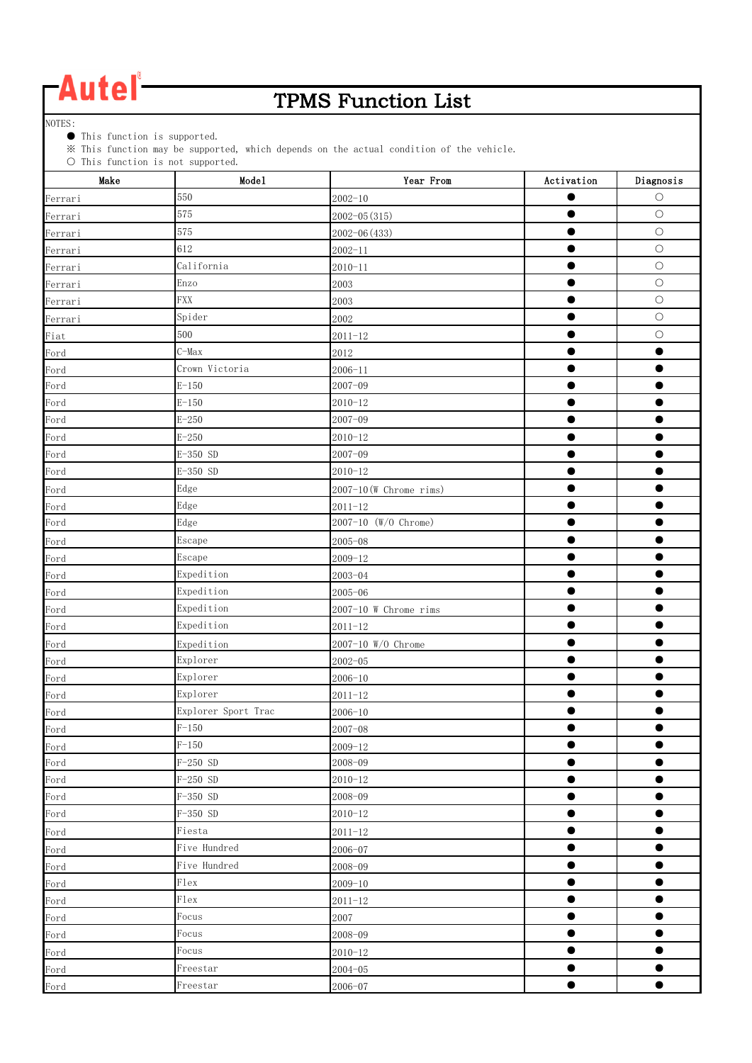### TPMS Function List

NOTES:

● This function is supported.

※ This function may be supported, which depends on the actual condition of the vehicle.

| $\cup$ inis function is not supported.<br>Make | Mode1               | Year From                 | Activation | Diagnosis  |
|------------------------------------------------|---------------------|---------------------------|------------|------------|
| Ferrari                                        | 550                 | $2002 - 10$               |            | $\circ$    |
| Ferrari                                        | 575                 | $2002 - 05(315)$          |            | $\bigcirc$ |
| Ferrari                                        | 575                 | 2002-06 (433)             |            | $\bigcirc$ |
| Ferrari                                        | 612                 | $2002 - 11$               |            | $\bigcirc$ |
| Ferrari                                        | California          | $2010 - 11$               | ●          | $\bigcirc$ |
| Ferrari                                        | Enzo                | 2003                      | ●          | $\bigcirc$ |
| Ferrari                                        | <b>FXX</b>          | 2003                      |            | $\bigcirc$ |
| Ferrari                                        | Spider              | 2002                      |            | $\bigcirc$ |
| Fiat                                           | 500                 | $2011 - 12$               | ●          | $\bigcirc$ |
| Ford                                           | $C-Max$             | 2012                      |            |            |
| Ford                                           | Crown Victoria      | $2006 - 11$               |            |            |
| Ford                                           | $E - 150$           | $2007 - 09$               |            |            |
| Ford                                           | $E - 150$           | $2010 - 12$               |            |            |
| Ford                                           | $E-250$             | $2007 - 09$               |            |            |
| Ford                                           | $E - 250$           | $2010 - 12$               | 0          |            |
| Ford                                           | $E-350$ SD          | $2007 - 09$               | $\bullet$  | $\bullet$  |
| Ford                                           | $E-350$ SD          | $2010 - 12$               |            |            |
| Ford                                           | Edge                | $2007-10$ (W Chrome rims) | 0          |            |
| Ford                                           | Edge                | $2011 - 12$               |            |            |
| Ford                                           | Edge                | 2007-10 (W/O Chrome)      | ●          |            |
| Ford                                           | Escape              | $2005 - 08$               |            |            |
| Ford                                           | Escape              | $2009 - 12$               |            |            |
| Ford                                           | Expedition          | 2003-04                   |            |            |
| Ford                                           | Expedition          | $2005 - 06$               | $\bullet$  |            |
| Ford                                           | Expedition          | 2007-10 W Chrome rims     |            |            |
| Ford                                           | Expedition          | $2011 - 12$               |            |            |
| Ford                                           | Expedition          | 2007-10 W/O Chrome        |            |            |
| Ford                                           | Explorer            | $2002 - 05$               |            |            |
| Ford                                           | Explorer            | $2006 - 10$               |            |            |
| Ford                                           | Explorer            | $2011 - 12$               |            |            |
| Ford                                           | Explorer Sport Trac | $2006 - 10$               |            |            |
| Ford                                           | $F-150$             | $2007 - 08$               |            |            |
| Ford                                           | $F-150$             | $2009 - 12$               |            |            |
| Ford                                           | $F-250$ SD          | 2008-09                   |            | ●          |
| Ford                                           | $F-250$ SD          | $2010 - 12$               | $\bullet$  | $\bullet$  |
| Ford                                           | $F-350$ SD          | 2008-09                   | $\bullet$  | $\bullet$  |
| Ford                                           | $F-350$ SD          | $2010 - 12$               | $\bullet$  | $\bullet$  |
| Ford                                           | Fiesta              | $2011 - 12$               | $\bullet$  | 0          |
| Ford                                           | Five Hundred        | 2006-07                   | $\bullet$  | $\bullet$  |
| Ford                                           | Five Hundred        | $2008 - 09$               | 0          | $\bullet$  |
| Ford                                           | Flex                | $2009 - 10$               | $\bullet$  | $\bullet$  |
| Ford                                           | Flex                | $2011 - 12$               |            |            |
| Ford                                           | Focus               | 2007                      | $\bullet$  | $\bullet$  |
| Ford                                           | Focus               | $2008 - 09$               | $\bullet$  | ●          |
| Ford                                           | Focus               | $2010 - 12$               | ۰          | D          |
| Ford                                           | Freestar            | $2004 - 05$               |            | -          |
| Ford                                           | Freestar            | $2006 - 07$               | ●          | $\bullet$  |
|                                                |                     |                           |            |            |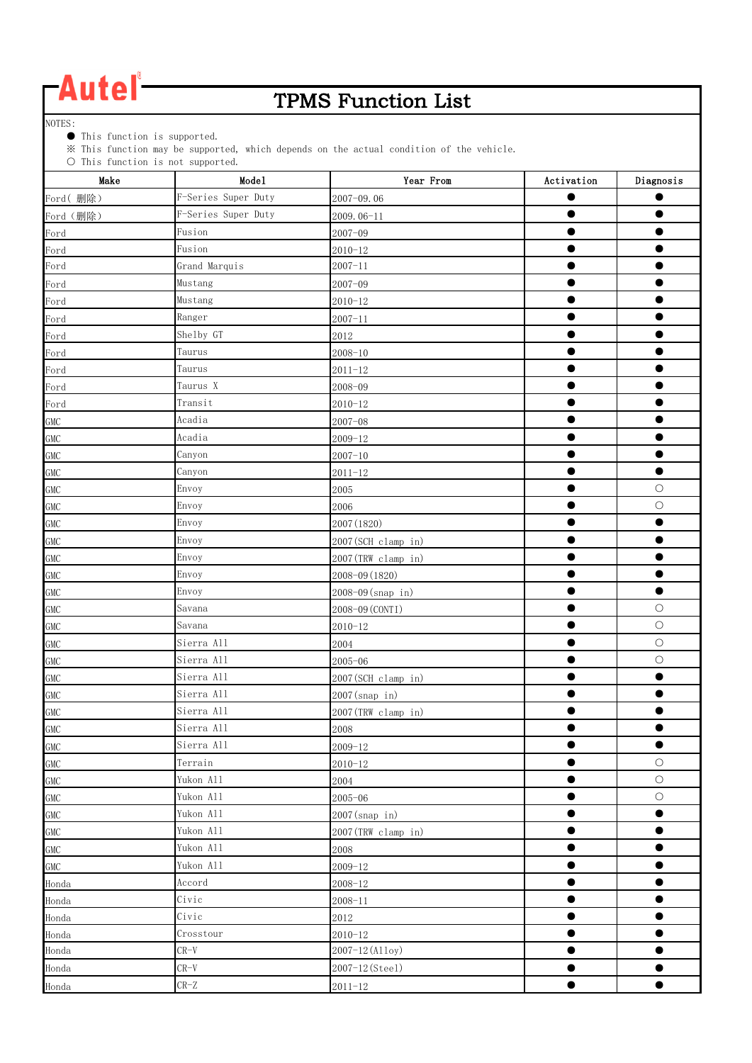### TPMS Function List

NOTES:

● This function is supported.

※ This function may be supported, which depends on the actual condition of the vehicle.

| Make       | $\cup$ lhis function is not supported.<br>Mode1 | Year From           | Activation | Diagonosis |
|------------|-------------------------------------------------|---------------------|------------|------------|
| Ford(删除)   | F-Series Super Duty                             | 2007-09.06          |            |            |
| Ford (删除)  | F-Series Super Duty                             | 2009.06-11          | ●          |            |
| Ford       | Fusion                                          | $2007 - 09$         |            |            |
| Ford       | Fusion                                          | $2010 - 12$         |            | ●          |
| Ford       | Grand Marquis                                   | $2007 - 11$         |            |            |
| Ford       | Mustang                                         | $2007 - 09$         | $\bullet$  | 0          |
| Ford       | Mustang                                         | $2010 - 12$         |            |            |
| Ford       | Ranger                                          | $2007 - 11$         | $\bullet$  | $\bullet$  |
| Ford       | Shelby GT                                       | 2012                |            |            |
| Ford       | Taurus                                          | $2008 - 10$         |            |            |
| Ford       | Taurus                                          | $2011 - 12$         |            |            |
| Ford       | Taurus X                                        | 2008-09             |            |            |
| Ford       | Transit                                         | $2010 - 12$         |            |            |
| <b>GMC</b> | Acadia                                          | $2007 - 08$         |            |            |
| <b>GMC</b> | Acadia                                          | $2009 - 12$         | $\bullet$  | $\bullet$  |
| <b>GMC</b> | Canyon                                          | $2007 - 10$         | $\bullet$  | ●          |
| <b>GMC</b> | Canyon                                          | $2011 - 12$         | ●          | $\bullet$  |
| <b>GMC</b> | Envoy                                           | 2005                |            | $\circ$    |
| <b>GMC</b> | Envoy                                           | 2006                |            | $\bigcirc$ |
| <b>GMC</b> | Envoy                                           | 2007 (1820)         |            | ●          |
| <b>GMC</b> | Envoy                                           | 2007(SCH clamp in)  |            |            |
| <b>GMC</b> | Envoy                                           | 2007(TRW clamp in)  |            |            |
| <b>GMC</b> | Envoy                                           | 2008-09 (1820)      |            |            |
| <b>GMC</b> | Envoy                                           | 2008-09 (snap in)   |            | $\bullet$  |
| GMC        | Savana                                          | 2008-09 (CONTI)     |            | $\circ$    |
| GMC        | Savana                                          | $2010 - 12$         |            | $\bigcirc$ |
| GMC        | Sierra All                                      | 2004                |            | $\bigcirc$ |
| <b>GMC</b> | Sierra All                                      | $2005 - 06$         |            | $\bigcirc$ |
| <b>GMC</b> | Sierra All                                      | 2007 (SCH clamp in) | $\bullet$  | $\bullet$  |
| <b>GMC</b> | Sierra All                                      | 2007(snap in)       |            |            |
| <b>GMC</b> | Sierra All                                      | 2007(TRW clamp in)  | $\bullet$  | $\bullet$  |
| <b>GMC</b> | Sierra All                                      | 2008                |            |            |
| <b>GMC</b> | Sierra All                                      | $2009 - 12$         | 0          | $\bullet$  |
| <b>GMC</b> | Terrain                                         | $2010 - 12$         |            | $\bigcirc$ |
| <b>GMC</b> | Yukon All                                       | 2004                | $\bullet$  | $\bigcirc$ |
| <b>GMC</b> | Yukon All                                       | $2005 - 06$         |            | $\bigcirc$ |
| GMC        | Yukon All                                       | 2007(snap in)       |            | $\bullet$  |
| <b>GMC</b> | Yukon All                                       | 2007(TRW clamp in)  |            |            |
| <b>GMC</b> | Yukon All                                       | 2008                | ●          | ●          |
| <b>GMC</b> | Yukon All                                       | $2009 - 12$         |            |            |
| Honda      | Accord                                          | $2008 - 12$         |            |            |
| Honda      | Civic                                           | $2008 - 11$         | $\bullet$  | ●          |
| Honda      | Civic                                           | 2012                | $\bullet$  | $\bullet$  |
| Honda      | Crosstour                                       | $2010 - 12$         |            |            |
| Honda      | $CR-V$                                          | 2007-12 (Alloy)     |            |            |
| Honda      | $CR-V$                                          | 2007-12(Steel)      |            | 0          |
| Honda      | $CR-Z$                                          | $2011 - 12$         | $\bullet$  | $\bullet$  |
|            |                                                 |                     |            |            |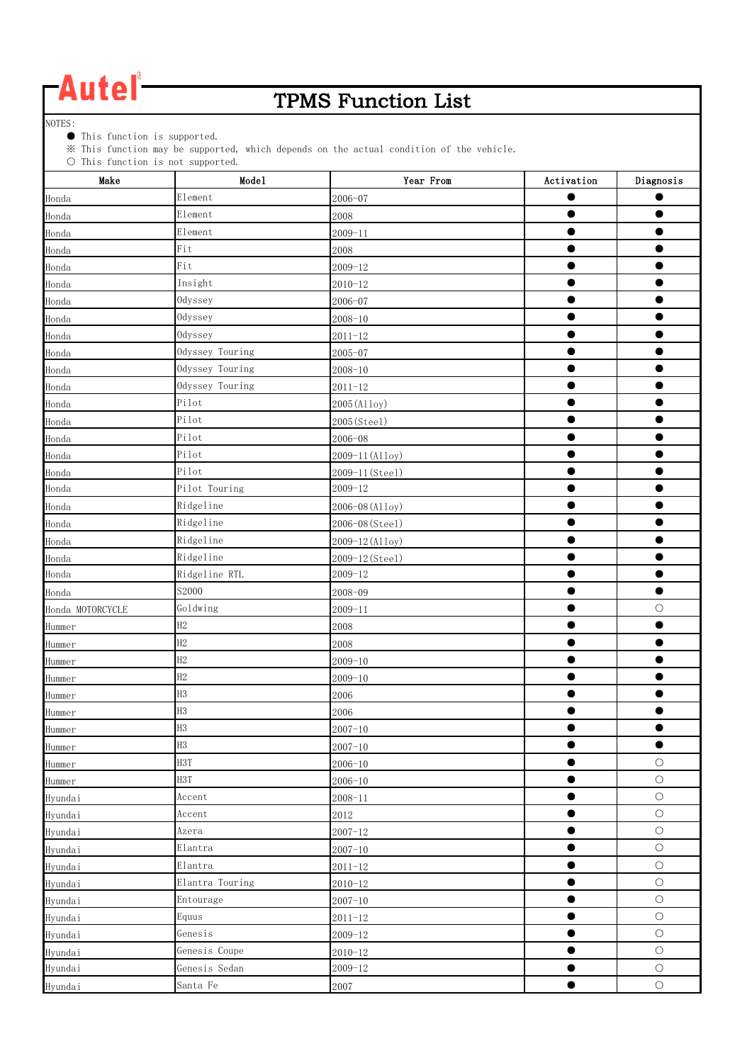### TPMS Function List

NOTES:

● This function is supported.

※ This function may be supported, which depends on the actual condition of the vehicle.

| $\circ$ ints function is not supported.<br>Make | Mode1            | Year From       | Activation | Diagnosis  |
|-------------------------------------------------|------------------|-----------------|------------|------------|
| Honda                                           | Element          | 2006-07         | ●          |            |
| Honda                                           | Element          | 2008            | $\bullet$  |            |
| Honda                                           | Element          | $2009 - 11$     | ●          |            |
| Honda                                           | Fit              | 2008            |            |            |
| Honda                                           | Fit              | $2009 - 12$     | $\bullet$  |            |
| Honda                                           | Insight          | $2010 - 12$     |            |            |
| Honda                                           | Odyssey          | $2006 - 07$     |            |            |
| Honda                                           | Odyssey          | $2008 - 10$     |            |            |
| Honda                                           | Odyssey          | $2011 - 12$     | $\bullet$  | $\bullet$  |
| Honda                                           | Odyssey Touring  | $2005 - 07$     | ●          |            |
| Honda                                           | Odyssey Touring  | $2008 - 10$     |            |            |
| Honda                                           | Odyssey Touring  | $2011 - 12$     |            |            |
| Honda                                           | Pilot            | 2005 (Alloy)    |            |            |
| Honda                                           | Pilot            | 2005(Steel)     |            |            |
| Honda                                           | Pilot            | $2006 - 08$     |            |            |
| Honda                                           | Pilot            | 2009-11 (Alloy) |            |            |
| Honda                                           | Pilot            | 2009-11 (Steel) |            |            |
| Honda                                           | Pilot Touring    | $2009 - 12$     |            |            |
| Honda                                           | Ridgeline        | 2006-08 (Alloy) |            |            |
| Honda                                           | Ridgeline        | 2006-08 (Steel) | ●          | ●          |
| Honda                                           | Ridgeline        | 2009-12 (Alloy) | ●          |            |
| Honda                                           | Ridgeline        | 2009-12 (Steel) | $\bullet$  |            |
| Honda                                           | Ridgeline RTL    | $2009 - 12$     |            |            |
| Honda                                           | S2000            | 2008-09         | ●          | $\bullet$  |
| Honda MOTORCYCLE                                | Goldwing         | $2009 - 11$     |            | $\bigcirc$ |
| Hummer                                          | H2               | 2008            |            |            |
| Hummer                                          | H2               | 2008            |            |            |
| Hummer                                          | H2               | $2009 - 10$     | $\bullet$  |            |
| Hummer                                          | H2               | $2009 - 10$     |            |            |
| Hummer                                          | H3               | 2006            | ●          |            |
| Hummer                                          | H3               | 2006            |            |            |
| Hummer                                          | H <sub>3</sub>   | $2007 - 10$     | ●          | $\bullet$  |
| Hummer                                          | H <sub>3</sub>   | $2007 - 10$     | $\bullet$  | $\bullet$  |
| Hummer                                          | H <sub>3</sub> T | $2006 - 10$     |            | $\bigcirc$ |
| Hummer                                          | H <sub>3</sub> T | $2006 - 10$     |            | $\bigcirc$ |
| Hyundai                                         | Accent           | $2008 - 11$     | $\bullet$  | $\circ$    |
| Hyundai                                         | Accent           | 2012            | $\bullet$  | $\bigcirc$ |
| Hyundai                                         | Azera            | $2007 - 12$     |            | $\bigcirc$ |
| Hyundai                                         | Elantra          | $2007 - 10$     |            | $\bigcirc$ |
| Hyundai                                         | Elantra          | $2011 - 12$     | 0          | $\bigcirc$ |
| Hyundai                                         | Elantra Touring  | $2010 - 12$     | $\bullet$  | $\bigcirc$ |
| Hyundai                                         | Entourage        | $2007 - 10$     | $\bullet$  | $\bigcirc$ |
| Hyundai                                         | Equus            | $2011 - 12$     | $\bullet$  | $\bigcirc$ |
| Hyundai                                         | Genesis          | $2009 - 12$     | $\bullet$  | $\bigcirc$ |
| Hyundai                                         | Genesis Coupe    | $2010 - 12$     | $\bullet$  | $\bigcirc$ |
| Hyundai                                         | Genesis Sedan    | $2009 - 12$     |            | $\bigcirc$ |
| Hyundai                                         | Santa Fe         | 2007            | $\bullet$  | $\bigcirc$ |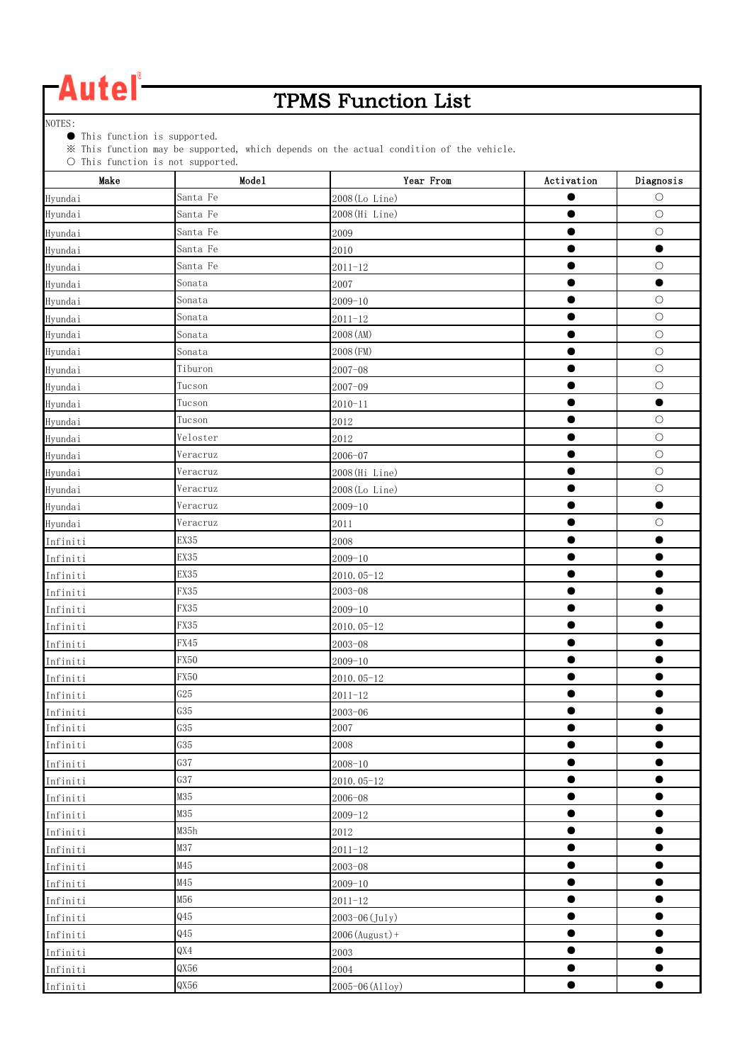### TPMS Function List

NOTES:

● This function is supported.

※ This function may be supported, which depends on the actual condition of the vehicle.

| $\cup$ lhis function is not supported.<br>Make | Mode1       | Year From         | Activation | Diagnosis  |
|------------------------------------------------|-------------|-------------------|------------|------------|
| Hyundai                                        | Santa Fe    | 2008 (Lo Line)    |            | $\circ$    |
| Hyundai                                        | Santa Fe    | 2008 (Hi Line)    | $\bullet$  | $\bigcirc$ |
| Hyundai                                        | Santa Fe    | 2009              |            | $\bigcirc$ |
| Hyundai                                        | Santa Fe    | 2010              |            | $\bullet$  |
| Hyundai                                        | Santa Fe    | $2011 - 12$       |            | $\bigcirc$ |
| Hyundai                                        | Sonata      | 2007              | $\bullet$  | $\bullet$  |
| Hyundai                                        | Sonata      | $2009 - 10$       |            | $\bigcirc$ |
| Hyundai                                        | Sonata      | $2011 - 12$       | $\bullet$  | $\bigcirc$ |
| Hyundai                                        | Sonata      | 2008 (AM)         | $\bullet$  | $\circ$    |
| Hyundai                                        | Sonata      | 2008 (FM)         |            | $\bigcirc$ |
| Hyundai                                        | Tiburon     | $2007 - 08$       |            | $\bigcirc$ |
| Hyundai                                        | Tucson      | $2007 - 09$       | ●          | $\circ$    |
| Hyundai                                        | Tucson      | $2010 - 11$       |            | $\bullet$  |
| Hyundai                                        | Tucson      | 2012              | ●          | $\bigcirc$ |
| Hyundai                                        | Veloster    | 2012              | $\bullet$  | $\bigcirc$ |
| Hyundai                                        | Veracruz    | $2006 - 07$       | $\bullet$  | $\bigcirc$ |
| Hyundai                                        | Veracruz    | 2008 (Hi Line)    | ●          | $\bigcirc$ |
| Hyundai                                        | Veracruz    | 2008 (Lo Line)    |            | $\bigcirc$ |
| Hyundai                                        | Veracruz    | $2009 - 10$       |            | $\bullet$  |
| Hyundai                                        | Veracruz    | 2011              |            | $\circ$    |
| Infiniti                                       | EX35        | 2008              |            |            |
| Infiniti                                       | EX35        | $2009 - 10$       |            |            |
| Infiniti                                       | EX35        | 2010.05-12        |            |            |
| Infiniti                                       | FX35        | $2003 - 08$       |            |            |
| Infiniti                                       | FX35        | $2009 - 10$       | ●          |            |
| Infiniti                                       | FX35        | 2010.05-12        |            |            |
| Infiniti                                       | FX45        | $2003 - 08$       | $\bullet$  | $\bullet$  |
| Infiniti                                       | FX50        | $2009 - 10$       |            |            |
| Infiniti                                       | <b>FX50</b> | 2010.05-12        | $\bullet$  |            |
| Infiniti                                       | G25         | $2011 - 12$       |            |            |
| Infiniti                                       | G35         | $2003 - 06$       | $\bullet$  | $\bullet$  |
| Infiniti                                       | G35         | 2007              |            |            |
| Infiniti                                       | G35         | 2008              | $\bullet$  | ●          |
| Infiniti                                       | G37         | $2008 - 10$       | $\bullet$  | $\bullet$  |
| Infiniti                                       | G37         | 2010.05-12        | $\bullet$  | $\bullet$  |
| Infiniti                                       | M35         | $2006 - 08$       | $\bullet$  | $\bullet$  |
| Infiniti                                       | M35         | $2009 - 12$       | $\bullet$  | ●          |
| Infiniti                                       | M35h        | 2012              | $\bullet$  | $\bullet$  |
| Infiniti                                       | M37         | $2011 - 12$       | $\bullet$  | $\bullet$  |
| Infiniti                                       | M45         | $2003 - 08$       |            | ●          |
| Infiniti                                       | M45         | $2009 - 10$       | ●          | ●          |
| Infiniti                                       | M56         | $2011 - 12$       | $\bullet$  | $\bullet$  |
| Infiniti                                       | Q45         | 2003-06 (July)    | $\bullet$  | $\bullet$  |
| Infiniti                                       | Q45         | $2006$ (August) + | $\bullet$  |            |
| Infiniti                                       | QX4         | 2003              |            |            |
| Infiniti                                       | QX56        | 2004              |            | 0          |
| Infiniti                                       | QX56        | 2005-06 (Alloy)   | $\bullet$  | $\bullet$  |
|                                                |             |                   |            |            |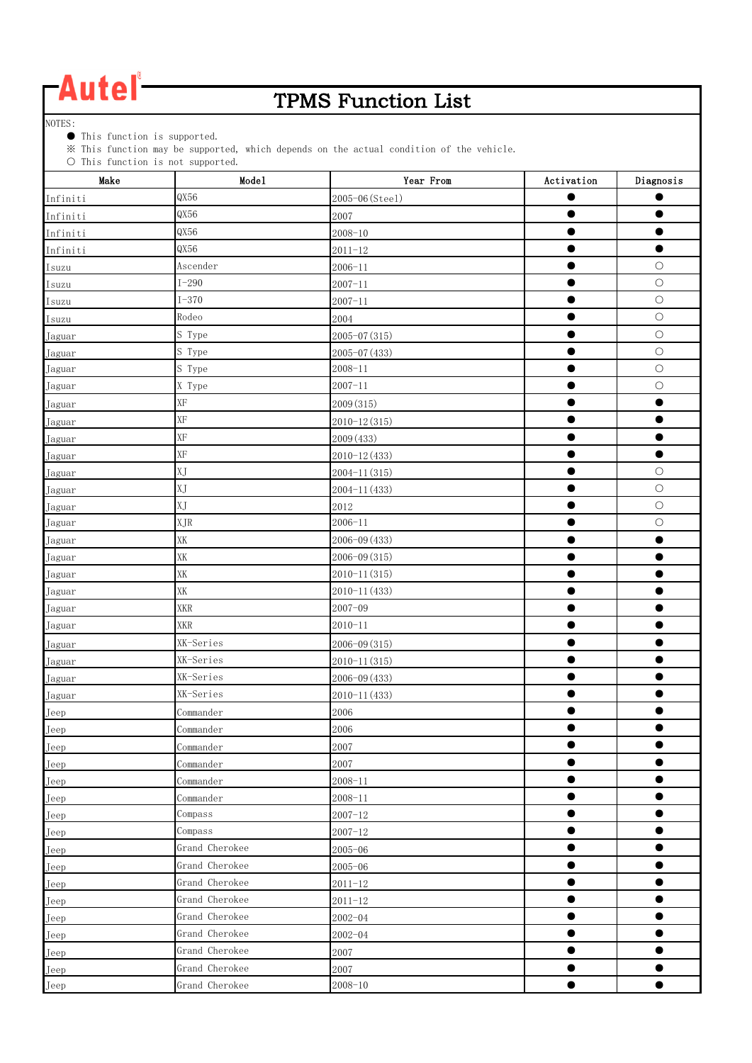### TPMS Function List

NOTES:

● This function is supported.

※ This function may be supported, which depends on the actual condition of the vehicle.

| $\cup$ inis function is not supported.<br>Make | Mode1                   | Year From        | Activation | Diagnosis  |
|------------------------------------------------|-------------------------|------------------|------------|------------|
| Infiniti                                       | QX56                    | 2005-06 (Steel)  |            |            |
| Infiniti                                       | QX56                    | 2007             | ●          |            |
| Infiniti                                       | QX56                    | $2008 - 10$      |            |            |
| Infiniti                                       | QX56                    | $2011 - 12$      |            |            |
| Isuzu                                          | Ascender                | $2006 - 11$      |            | $\bigcirc$ |
| Isuzu                                          | $I - 290$               | $2007 - 11$      |            | $\bigcirc$ |
| Isuzu                                          | $I-370$                 | $2007 - 11$      |            | $\bigcirc$ |
| Isuzu                                          | Rodeo                   | 2004             |            | $\bigcirc$ |
| Jaguar                                         | S Type                  | $2005 - 07(315)$ | $\bullet$  | $\circ$    |
| Jaguar                                         | S Type                  | $2005 - 07(433)$ | $\bullet$  | $\bigcirc$ |
| Jaguar                                         | S Type                  | $2008 - 11$      |            | $\bigcirc$ |
| Jaguar                                         | X Type                  | $2007 - 11$      | $\bullet$  | $\bigcirc$ |
| Jaguar                                         | $\mathbf{X} \mathbf{F}$ | 2009 (315)       |            | $\bullet$  |
| Jaguar                                         | XF                      | $2010 - 12(315)$ | ●          |            |
| Jaguar                                         | $\mathbf{X} \mathbf{F}$ | 2009 (433)       |            | $\bullet$  |
| Jaguar                                         | XF                      | $2010 - 12(433)$ | $\bullet$  | $\bullet$  |
| Jaguar                                         | XJ                      | $2004 - 11(315)$ |            | $\bigcirc$ |
| Jaguar                                         | XJ                      | 2004-11 (433)    |            | $\bigcirc$ |
| Jaguar                                         | XJ                      | 2012             |            | $\bigcirc$ |
| Jaguar                                         | XJR                     | $2006 - 11$      | $\bullet$  | $\bigcirc$ |
| Jaguar                                         | XK                      | $2006 - 09(433)$ | $\bullet$  | $\bullet$  |
| Jaguar                                         | XK                      | $2006 - 09(315)$ | ●          |            |
| Jaguar                                         | XK                      | $2010 - 11(315)$ | $\bullet$  | ●          |
| Jaguar                                         | XK                      | 2010-11 (433)    | $\bullet$  |            |
| Jaguar                                         | <b>XKR</b>              | $2007 - 09$      | $\bullet$  |            |
| Jaguar                                         | XKR                     | $2010 - 11$      |            |            |
| Jaguar                                         | XK-Series               | 2006-09 (315)    |            |            |
| Jaguar                                         | XK-Series               | $2010 - 11(315)$ |            |            |
| Jaguar                                         | XK-Series               | 2006-09 (433)    |            |            |
| Jaguar                                         | XK-Series               | 2010-11 (433)    |            |            |
| Jeep                                           | Commander               | 2006             | $\bullet$  | ●          |
| Jeep                                           | Commander               | 2006             |            |            |
| Jeep                                           | Commander               | 2007             | $\bullet$  | $\bullet$  |
| Jeep                                           | Commander               | 2007             |            | $\bullet$  |
| Jeep                                           | Commander               | $2008 - 11$      | $\bullet$  | $\bullet$  |
| Jeep                                           | Commander               | $2008 - 11$      |            |            |
| Jeep                                           | Compass                 | $2007 - 12$      |            |            |
| Jeep                                           | Compass                 | $2007 - 12$      |            |            |
| Jeep                                           | Grand Cherokee          | $2005 - 06$      | $\bullet$  | ●          |
| Jeep                                           | Grand Cherokee          | $2005 - 06$      |            |            |
| Jeep                                           | Grand Cherokee          | $2011 - 12$      | $\bullet$  | ●          |
| Jeep                                           | Grand Cherokee          | $2011 - 12$      | $\bullet$  | $\bullet$  |
| Jeep                                           | Grand Cherokee          | $2002 - 04$      | $\bullet$  | $\bullet$  |
| Jeep                                           | Grand Cherokee          | $2002 - 04$      | $\bullet$  |            |
| Jeep                                           | Grand Cherokee          | 2007             |            |            |
| Jeep                                           | Grand Cherokee          | 2007             |            |            |
| Jeep                                           | Grand Cherokee          | $2008 - 10$      | $\bullet$  | $\bullet$  |
|                                                |                         |                  |            |            |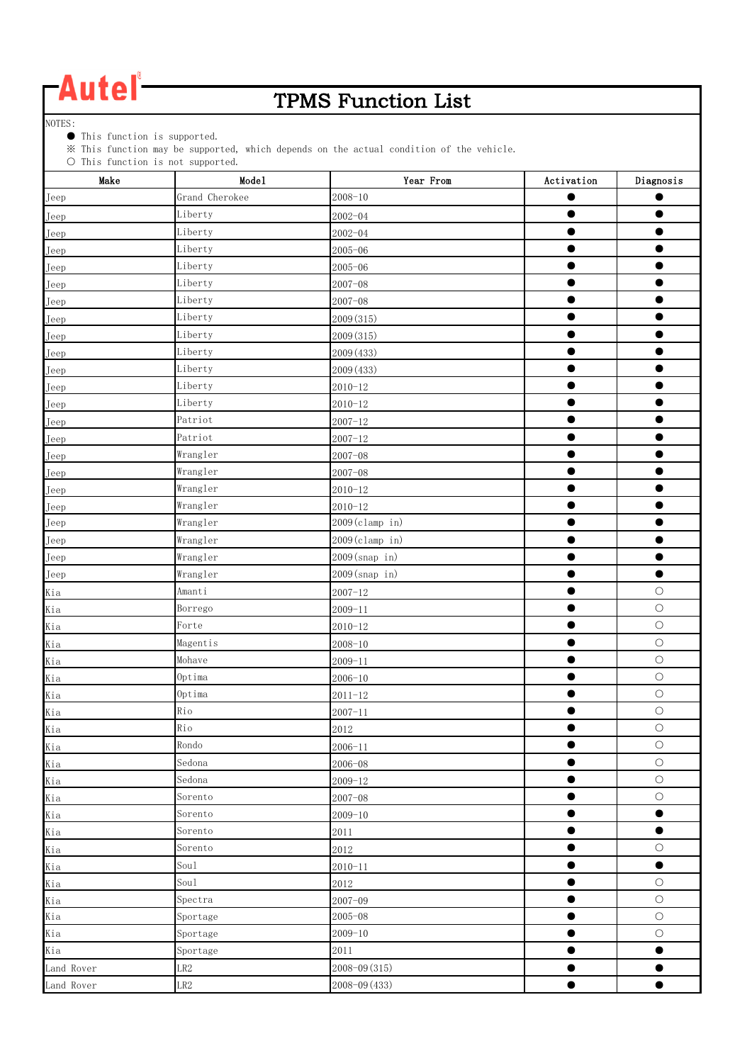### TPMS Function List

NOTES:

● This function is supported.

※ This function may be supported, which depends on the actual condition of the vehicle.

| Make       | $\circ$ into function is not supported.<br>Mode1 | Year From         | Activation | Diagnosis  |
|------------|--------------------------------------------------|-------------------|------------|------------|
| Jeep       | Grand Cherokee                                   | $2008 - 10$       | $\bullet$  |            |
| Jeep       | Liberty                                          | $2002 - 04$       | $\bullet$  |            |
| Jeep       | Liberty                                          | $2002 - 04$       | $\bullet$  |            |
| Jeep       | Liberty                                          | $2005 - 06$       |            |            |
| Jeep       | Liberty                                          | $2005 - 06$       |            |            |
| Jeep       | Liberty                                          | $2007 - 08$       |            |            |
| Jeep       | Liberty                                          | $2007 - 08$       |            |            |
| Jeep       | Liberty                                          | 2009 (315)        |            |            |
| Jeep       | Liberty                                          | 2009 (315)        | $\bullet$  | $\bullet$  |
| Jeep       | Liberty                                          | 2009 (433)        | ●          |            |
| Jeep       | Liberty                                          | 2009 (433)        |            |            |
| Jeep       | Liberty                                          | $2010 - 12$       |            |            |
| Jeep       | Liberty                                          | $2010 - 12$       | ●          | $\bullet$  |
| Jeep       | Patriot                                          | $2007 - 12$       |            |            |
| Jeep       | Patriot                                          | $2007 - 12$       |            |            |
| Jeep       | Wrangler                                         | $2007 - 08$       |            |            |
| Jeep       | Wrangler                                         | $2007 - 08$       | $\bullet$  |            |
| Jeep       | Wrangler                                         | $2010 - 12$       |            |            |
| Jeep       | Wrangler                                         | $2010 - 12$       |            |            |
| Jeep       | Wrangler                                         | 2009(clamp in)    |            |            |
| Jeep       | Wrangler                                         | $2009$ (clamp in) | $\bullet$  |            |
| Jeep       | Wrangler                                         | $2009$ (snap in)  | $\bullet$  | ●          |
| Jeep       | Wrangler                                         | 2009(snap in)     |            | ●          |
| Kia        | Amanti                                           | $2007 - 12$       | ●          | $\circ$    |
| Kia        | Borrego                                          | $2009 - 11$       | $\bullet$  | $\circ$    |
| Kia        | Forte                                            | $2010 - 12$       |            | $\bigcirc$ |
| Kia        | Magentis                                         | $2008 - 10$       |            | $\bigcirc$ |
| Kia        | Mohave                                           | $2009 - 11$       | ●          | $\bigcirc$ |
| Kia        | Optima                                           | $2006 - 10$       |            | $\bigcirc$ |
| Kia        | Optima                                           | $2011 - 12$       |            | $\bigcirc$ |
| Kia        | Rio                                              | $2007 - 11$       |            | $\bigcirc$ |
| Kia        | Rio                                              | 2012              | ▬          | $\bigcirc$ |
| Kia        | Rondo                                            | $2006 - 11$       | $\bullet$  | $\bigcirc$ |
| Kia        | Sedona                                           | $2006 - 08$       | $\bullet$  | $\bigcirc$ |
| Kia        | Sedona                                           | $2009 - 12$       | $\bullet$  | $\bigcirc$ |
| Kia        | Sorento                                          | $2007 - 08$       | $\bullet$  | $\bigcirc$ |
| Kia        | Sorento                                          | $2009 - 10$       | $\bullet$  | $\bullet$  |
| Kia        | Sorento                                          | $2011\,$          | 0          | $\bullet$  |
| Kia        | Sorento                                          | 2012              |            | $\bigcirc$ |
| Kia        | Sou1                                             | $2010 - 11$       | $\bullet$  | $\bullet$  |
| Kia        | Sou1                                             | 2012              | ●          | $\bigcirc$ |
| Kia        | Spectra                                          | $2007 - 09$       | $\bullet$  | $\bigcirc$ |
| Kia        | Sportage                                         | $2005 - 08$       | $\bullet$  | $\bigcirc$ |
| Kia        | Sportage                                         | $2009 - 10$       | $\bullet$  | $\bigcirc$ |
| Kia        | Sportage                                         | 2011              | $\bullet$  | $\bullet$  |
| Land Rover | LR2                                              | $2008 - 09(315)$  |            |            |
| Land Rover | LR2                                              | 2008-09 (433)     |            | $\bullet$  |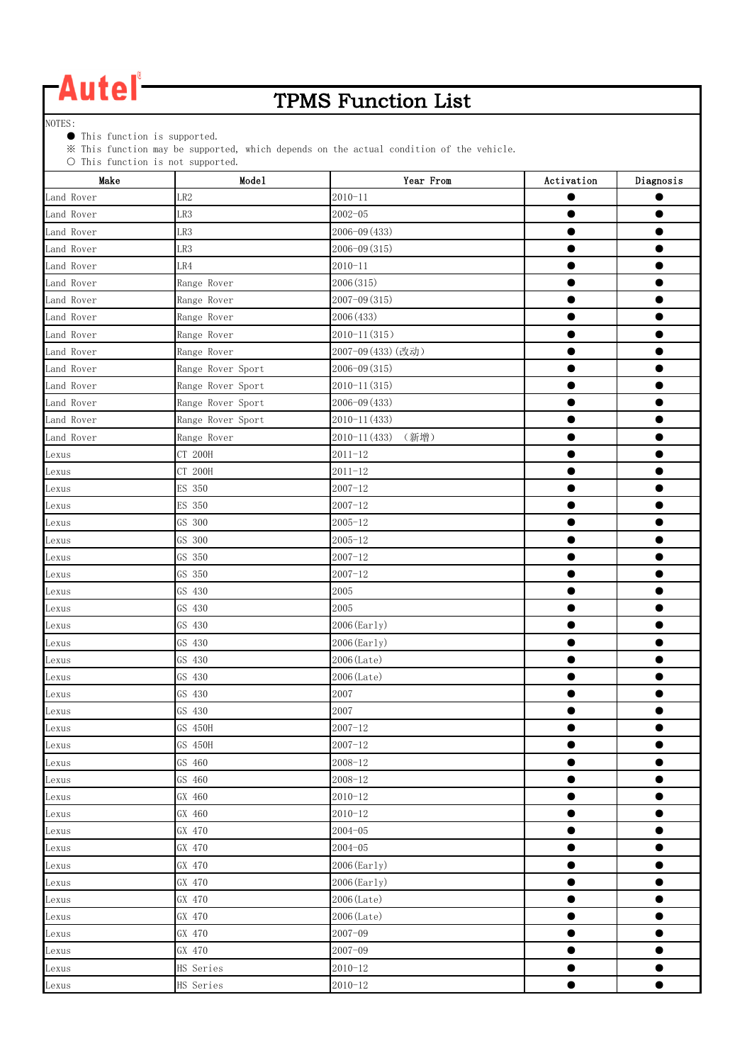### TPMS Function List

NOTES:

● This function is supported.

※ This function may be supported, which depends on the actual condition of the vehicle.

| Make       | Mode1             | Year From             | Activation | Diagnosis |
|------------|-------------------|-----------------------|------------|-----------|
| Land Rover | LR <sub>2</sub>   | $2010 - 11$           |            |           |
| Land Rover | LR3               | $2002 - 05$           |            |           |
| Land Rover | LR3               | 2006-09 (433)         |            |           |
| Land Rover | LR3               | 2006-09 (315)         |            |           |
| Land Rover | LR4               | $2010 - 11$           |            |           |
| Land Rover | Range Rover       | 2006 (315)            |            |           |
| Land Rover | Range Rover       | 2007-09 (315)         | 0          |           |
| Land Rover | Range Rover       | 2006 (433)            |            |           |
| Land Rover | Range Rover       | $2010 - 11(315)$      | ●          |           |
| Land Rover | Range Rover       | 2007-09 (433) (改动)    |            |           |
| Land Rover | Range Rover Sport | 2006-09 (315)         |            |           |
| Land Rover | Range Rover Sport | $2010 - 11(315)$      |            |           |
| Land Rover | Range Rover Sport | $2006 - 09(433)$      |            |           |
| Land Rover | Range Rover Sport | $2010 - 11(433)$      |            |           |
| Land Rover | Range Rover       | 2010-11 (433)<br>(新增) |            |           |
| Lexus      | CT 200H           | $2011 - 12$           | $\bullet$  |           |
| Lexus      | CT 200H           | $2011 - 12$           | ●          |           |
| Lexus      | ES 350            | $2007 - 12$           | ●          |           |
| Lexus      | ES 350            | $2007 - 12$           |            |           |
| Lexus      | GS 300            | $2005 - 12$           |            |           |
| Lexus      | GS 300            | $2005 - 12$           |            |           |
| Lexus      | GS 350            | $2007 - 12$           |            |           |
| Lexus      | GS 350            | $2007 - 12$           |            |           |
| Lexus      | GS 430            | 2005                  |            |           |
| Lexus      | GS 430            | 2005                  |            |           |
| Lexus      | GS 430            | 2006 (Early)          |            |           |
| Lexus      | GS 430            | 2006 (Early)          |            |           |
| Lexus      | GS 430            | 2006 (Late)           |            | ●         |
| Lexus      | GS 430            | 2006 (Late)           |            |           |
| Lexus      | GS 430            | 2007                  |            |           |
| Lexus      | GS 430            | 2007                  |            |           |
| Lexus      | GS 450H           | $2007 - 12$           |            |           |
| Lexus      | GS 450H           | $2007 - 12$           | ●          |           |
| Lexus      | GS 460            | $2008 - 12$           | $\bullet$  | O         |
| Lexus      | GS 460            | $2008 - 12$           |            |           |
| Lexus      | GX 460            | $2010 - 12$           | $\bullet$  | $\bullet$ |
| Lexus      | GX 460            | $2010 - 12$           | $\bullet$  | $\bullet$ |
| Lexus      | GX 470            | $2004 - 05$           |            | œ         |
| Lexus      | GX 470            | $2004 - 05$           |            |           |
| Lexus      | GX 470            | $2006$ (Early)        | $\bullet$  | ●         |
| Lexus      | GX 470            | 2006 (Early)          | $\bullet$  | 9         |
| Lexus      | GX 470            | 2006 (Late)           | ٠          |           |
| Lexus      | GX 470            | 2006 (Late)           |            | ●         |
| Lexus      | GX 470            | $2007 - 09$           | $\bullet$  |           |
| Lexus      | GX 470            | $2007 - 09$           | 9          |           |
| Lexus      | HS Series         | $2010 - 12$           |            |           |
| Lexus      | HS Series         | $2010 - 12$           |            | 0         |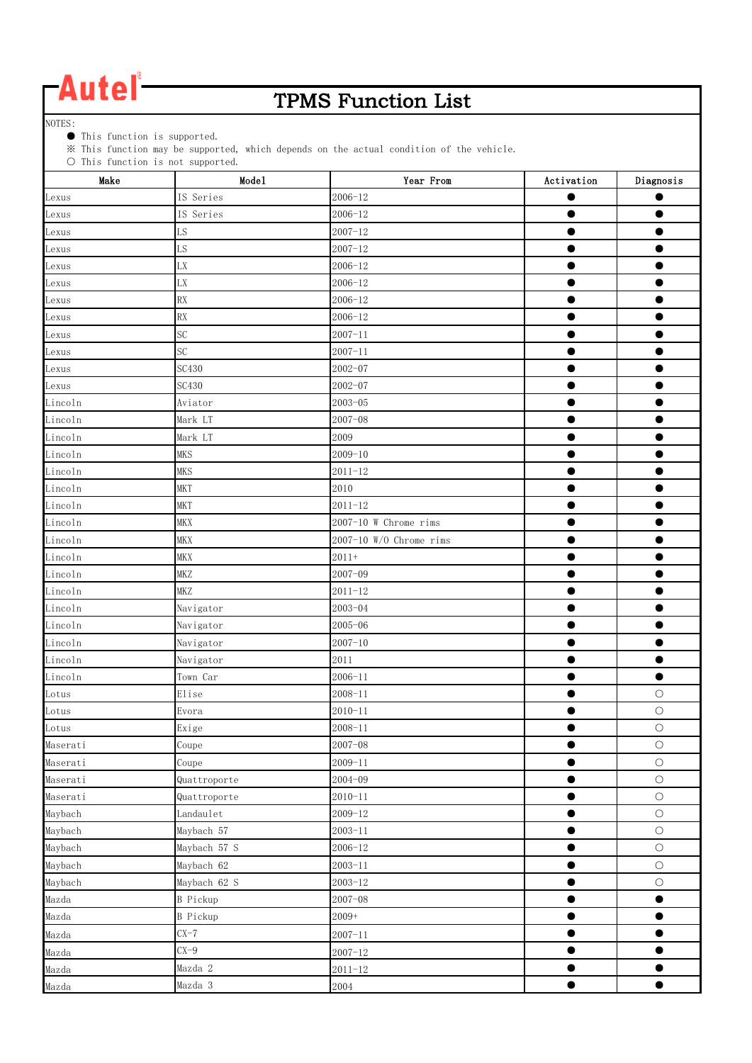### TPMS Function List

NOTES:

● This function is supported.

※ This function may be supported, which depends on the actual condition of the vehicle.

| Make     | Mode1                  | Year From                 | Activation | Diagnosis  |
|----------|------------------------|---------------------------|------------|------------|
| Lexus    | IS Series              | $2006 - 12$               |            |            |
| Lexus    | IS Series              | $2006 - 12$               | $\bullet$  | $\bullet$  |
| Lexus    | LS                     | $2007 - 12$               | ●          |            |
| Lexus    | LS                     | $2007 - 12$               |            |            |
| Lexus    | ${\rm L}{\rm X}$       | $2006 - 12$               |            |            |
| Lexus    | ${\rm L}{\rm X}$       | $2006 - 12$               |            |            |
| Lexus    | RX                     | $2006 - 12$               |            |            |
| Lexus    | RX                     | $2006 - 12$               |            |            |
| Lexus    | SC                     | $2007 - 11$               |            |            |
| Lexus    | SC                     | $2007 - 11$               |            |            |
| Lexus    | SC430                  | $2002 - 07$               |            |            |
| Lexus    | <b>SC430</b>           | $2002 - 07$               |            |            |
| Lincoln  | Aviator                | $2003 - 05$               |            |            |
| Lincoln  | Mark LT                | $2007 - 08$               |            |            |
| Lincoln  | Mark LT                | 2009                      | $\bullet$  | 0          |
| Lincoln  | <b>MKS</b>             | $2009 - 10$               |            |            |
| Lincoln  | <b>MKS</b>             | $2011 - 12$               | $\bullet$  | $\bullet$  |
| Lincoln  | <b>MKT</b>             | 2010                      |            |            |
| Lincoln  | <b>MKT</b>             | $2011 - 12$               |            |            |
| Lincoln  | MKX                    | 2007-10 W Chrome rims     |            |            |
| Lincoln  | <b>MKX</b>             | $2007-10$ W/O Chrome rims |            |            |
| Lincoln  | <b>MKX</b>             | $2011+$                   |            |            |
| Lincoln  | MKZ                    | $2007 - 09$               | ۰          |            |
| Lincoln  | <b>MKZ</b>             | $2011 - 12$               |            |            |
| Lincoln  | Navigator              | $2003 - 04$               | $\bullet$  | ●          |
| Lincoln  | Navigator              | $2005 - 06$               | $\bullet$  |            |
| Lincoln  | Navigator              | $2007 - 10$               |            |            |
| Lincoln  | Navigator              | 2011                      |            | œ          |
| Lincoln  | Town Car               | $2006 - 11$               | ●          | $\bullet$  |
| Lotus    | Elise                  | $2008 - 11$               |            | $\bigcirc$ |
| Lotus    | Evora                  | $2010 - 11$               |            | $\bigcirc$ |
| Lotus    | Exige                  | $2008 - 11$               | ۰          | $\circ$    |
| Maserati | $\operatorname{Coupe}$ | $2007 - 08$               | $\bullet$  | $\bigcirc$ |
| Maserati | Coupe                  | $2009 - 11$               | 0          | $\bigcirc$ |
| Maserati | Quattroporte           | $2004 - 09$               | 0          | $\bigcirc$ |
| Maserati | Quattroporte           | $2010 - 11$               | $\bullet$  | $\bigcirc$ |
| Maybach  | Landaulet              | $2009 - 12$               | $\bullet$  | $\bigcirc$ |
| Maybach  | Maybach 57             | $2003 - 11$               | $\bullet$  | $\bigcirc$ |
| Maybach  | Maybach 57 S           | $2006 - 12$               |            | $\bigcirc$ |
| Maybach  | Maybach 62             | $2003 - 11$               | $\bullet$  | $\bigcirc$ |
| Maybach  | Maybach 62 S           | $2003 - 12$               | 0          | $\bigcirc$ |
| Mazda    | <b>B</b> Pickup        | $2007 - 08$               | $\bullet$  | $\bullet$  |
| Mazda    | <b>B</b> Pickup        | 2009+                     | $\bullet$  | $\bullet$  |
| Mazda    | $CX-7$                 | $2007 - 11$               | $\bullet$  | $\bullet$  |
| Mazda    | $CX-9$                 | $2007 - 12$               | $\bullet$  |            |
| Mazda    | Mazda 2                | $2011 - 12$               |            |            |
| Mazda    | Mazda 3                | 2004                      | $\bullet$  |            |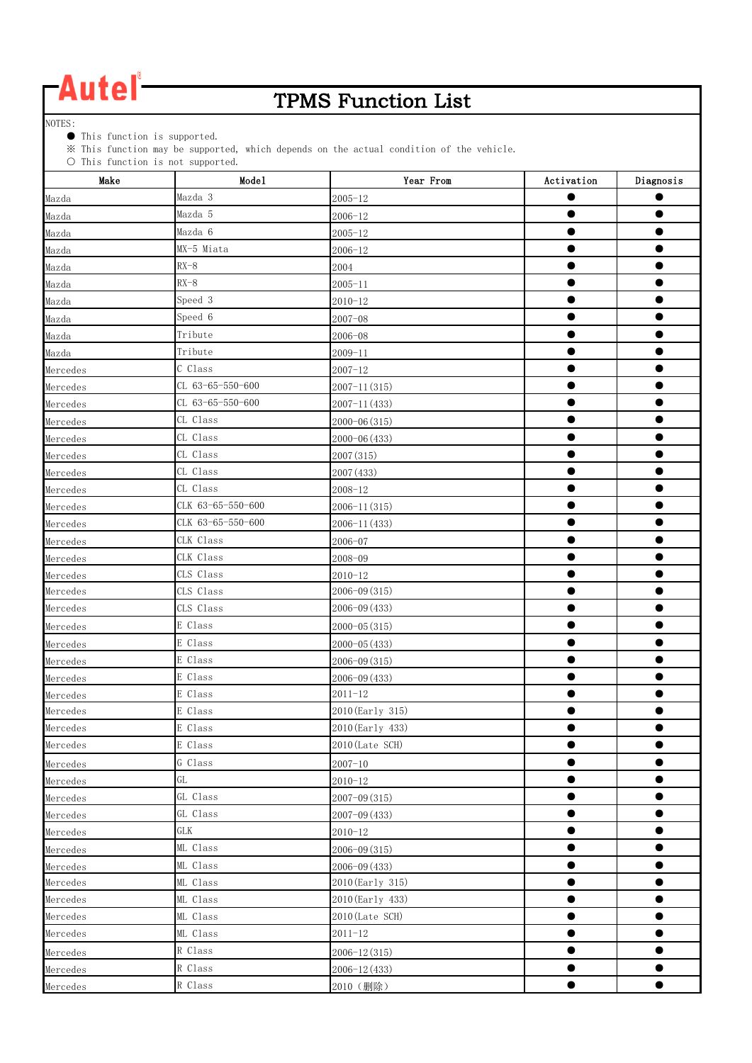### TPMS Function List

NOTES:

● This function is supported.

※ This function may be supported, which depends on the actual condition of the vehicle.

| Make     | Model             | Year From        | Activation | Diagnosis |
|----------|-------------------|------------------|------------|-----------|
| Mazda    | Mazda 3           | $2005 - 12$      |            | ●         |
| Mazda    | Mazda 5           | 2006-12          |            |           |
| Mazda    | Mazda 6           | $2005 - 12$      |            |           |
| Mazda    | MX-5 Miata        | $2006 - 12$      |            |           |
| Mazda    | $RX-8$            | 2004             |            |           |
| Mazda    | $RX-8$            | $2005 - 11$      |            |           |
| Mazda    | Speed 3           | $2010 - 12$      |            |           |
| Mazda    | Speed 6           | $2007 - 08$      |            |           |
| Mazda    | Tribute           | $2006 - 08$      | $\bullet$  |           |
| Mazda    | Tribute           | $2009 - 11$      | $\bullet$  |           |
| Mercedes | C Class           | $2007 - 12$      |            |           |
| Mercedes | CL 63-65-550-600  | $2007 - 11(315)$ |            |           |
| Mercedes | CL 63-65-550-600  | $2007 - 11(433)$ |            |           |
| Mercedes | CL Class          | $2000 - 06(315)$ | ●          |           |
| Mercedes | CL Class          | $2000 - 06(433)$ |            |           |
| Mercedes | CL Class          | 2007 (315)       |            |           |
| Mercedes | CL Class          | 2007 (433)       |            |           |
| Mercedes | CL Class          | 2008-12          |            |           |
| Mercedes | CLK 63-65-550-600 | $2006 - 11(315)$ |            |           |
| Mercedes | CLK 63-65-550-600 | 2006-11 (433)    |            |           |
| Mercedes | CLK Class         | 2006-07          |            |           |
| Mercedes | CLK Class         | 2008-09          | 0          |           |
| Mercedes | CLS Class         | $2010 - 12$      |            |           |
| Mercedes | CLS Class         | $2006 - 09(315)$ | $\bullet$  | $\bullet$ |
| Mercedes | CLS Class         | $2006 - 09(433)$ |            |           |
| Mercedes | E Class           | $2000 - 05(315)$ |            |           |
| Mercedes | E Class           | $2000 - 05(433)$ |            |           |
| Mercedes | E Class           | 2006-09 (315)    |            |           |
| Mercedes | E Class           | $2006 - 09(433)$ |            |           |
| Mercedes | E Class           | $2011 - 12$      |            |           |
| Mercedes | E Class           | 2010 (Early 315) |            |           |
| Mercedes | E Class           | 2010 (Early 433) |            |           |
| Mercedes | E Class           | 2010 (Late SCH)  | $\bullet$  | ●         |
| Mercedes | G Class           | $2007 - 10$      |            |           |
| Mercedes | GL                | $2010 - 12$      |            |           |
| Mercedes | GL Class          | 2007-09 (315)    |            |           |
| Mercedes | GL Class          | $2007 - 09(433)$ |            |           |
| Mercedes | <b>GLK</b>        | $2010 - 12$      |            |           |
| Mercedes | ML Class          | 2006-09 (315)    |            |           |
| Mercedes | ML Class          | 2006-09 (433)    |            |           |
| Mercedes | ML Class          | 2010 (Early 315) |            |           |
| Mercedes | ML Class          | 2010 (Early 433) |            |           |
| Mercedes | ML Class          | 2010 (Late SCH)  |            | ●         |
| Mercedes | ML Class          | $2011 - 12$      |            |           |
| Mercedes | R Class           | $2006 - 12(315)$ |            |           |
| Mercedes | R Class           | 2006-12 (433)    |            |           |
| Mercedes | R Class           | 2010 (删除)        | $\bullet$  | $\bullet$ |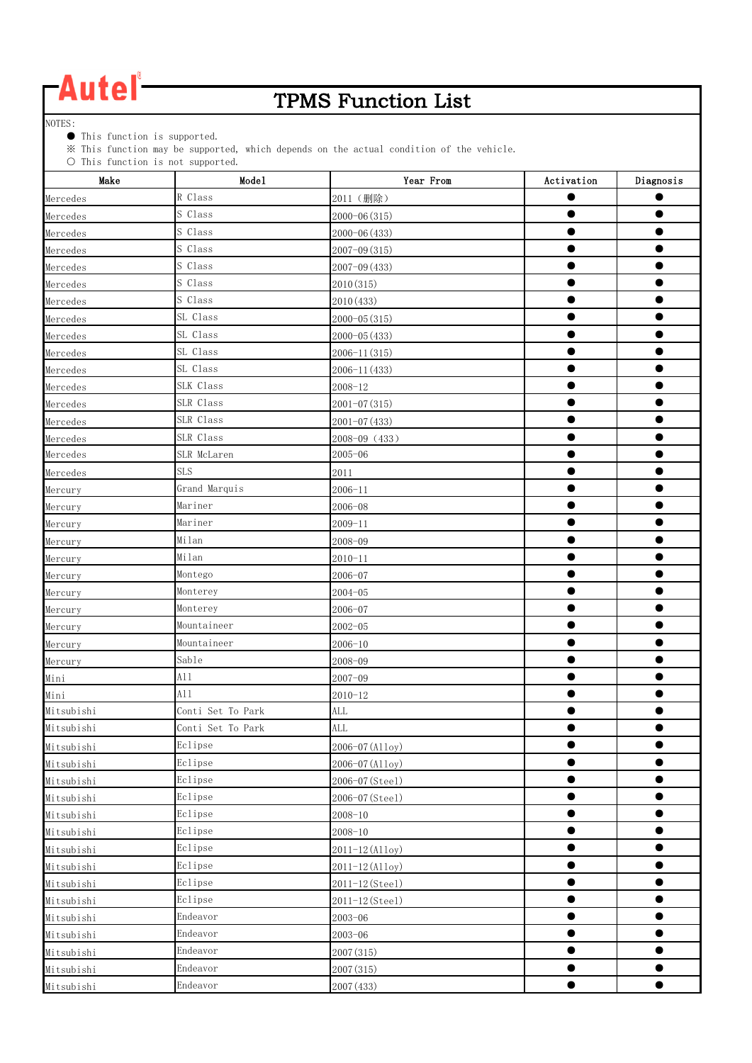### TPMS Function List

NOTES:

● This function is supported.

※ This function may be supported, which depends on the actual condition of the vehicle.

| Make       | $\cup$ Inis function is not supported.<br>Mode1 | Year From        | Activation | Diagnosis |
|------------|-------------------------------------------------|------------------|------------|-----------|
| Mercedes   | R Class                                         | 2011 (删除)        |            |           |
| Mercedes   | S Class                                         | 2000-06 (315)    | ●          |           |
| Mercedes   | S Class                                         | 2000-06 (433)    |            |           |
| Mercedes   | S Class                                         | $2007 - 09(315)$ | ●          |           |
| Mercedes   | S Class                                         | 2007-09 (433)    |            |           |
| Mercedes   | S Class                                         | 2010(315)        | ●          |           |
| Mercedes   | S Class                                         | 2010(433)        |            |           |
| Mercedes   | SL Class                                        | $2000 - 05(315)$ | $\bullet$  | $\bullet$ |
| Mercedes   | SL Class                                        | $2000 - 05(433)$ |            |           |
| Mercedes   | SL Class                                        | 2006-11 (315)    |            |           |
| Mercedes   | SL Class                                        | 2006-11 (433)    |            |           |
| Mercedes   | SLK Class                                       | $2008 - 12$      |            |           |
| Mercedes   | SLR Class                                       | 2001-07 (315)    |            |           |
| Mercedes   | SLR Class                                       | $2001 - 07(433)$ |            |           |
| Mercedes   | SLR Class                                       | 2008-09 (433)    |            |           |
| Mercedes   | SLR McLaren                                     | $2005 - 06$      |            |           |
| Mercedes   | <b>SLS</b>                                      | 2011             |            |           |
| Mercury    | Grand Marquis                                   | $2006 - 11$      |            |           |
| Mercury    | Mariner                                         | $2006 - 08$      |            |           |
| Mercury    | Mariner                                         | $2009 - 11$      |            |           |
| Mercury    | Milan                                           | 2008-09          |            |           |
| Mercury    | Milan                                           | $2010 - 11$      |            |           |
| Mercury    | Montego                                         | 2006-07          |            |           |
| Mercury    | Monterey                                        | $2004 - 05$      |            |           |
| Mercury    | Monterey                                        | 2006-07          |            |           |
| Mercury    | Mountaineer                                     | $2002 - 05$      |            |           |
| Mercury    | Mountaineer                                     | $2006 - 10$      |            |           |
| Mercury    | Sable                                           | 2008-09          |            |           |
| Mini       | A11                                             | $2007 - 09$      |            |           |
| Mini       | A11                                             | $2010 - 12$      |            |           |
| Mitsubishi | Conti Set To Park                               | $\mbox{ALL}$     | $\bullet$  | $\bullet$ |
| Mitsubishi | Conti Set To Park                               | <b>ALL</b>       |            |           |
| Mitsubishi | Eclipse                                         | 2006-07 (Alloy)  |            |           |
| Mitsubishi | Eclipse                                         | 2006-07 (Alloy)  |            |           |
| Mitsubishi | Eclipse                                         | 2006-07 (Steel)  | $\bullet$  |           |
| Mitsubishi | Eclipse                                         | 2006-07 (Steel)  |            |           |
| Mitsubishi | Eclipse                                         | $2008 - 10$      |            |           |
| Mitsubishi | Eclipse                                         | $2008 - 10$      |            | ●         |
| Mitsubishi | Eclipse                                         | 2011-12 (Alloy)  |            |           |
| Mitsubishi | Eclipse                                         | 2011-12 (Alloy)  |            |           |
| Mitsubishi | Eclipse                                         | 2011-12 (Steel)  |            |           |
| Mitsubishi | Eclipse                                         | 2011-12 (Steel)  |            |           |
| Mitsubishi | Endeavor                                        | $2003 - 06$      | ●          |           |
| Mitsubishi | Endeavor                                        | $2003 - 06$      |            |           |
| Mitsubishi | Endeavor                                        | 2007 (315)       |            |           |
| Mitsubishi | Endeavor                                        | 2007 (315)       |            |           |
| Mitsubishi | Endeavor                                        | 2007 (433)       |            |           |
|            |                                                 |                  |            |           |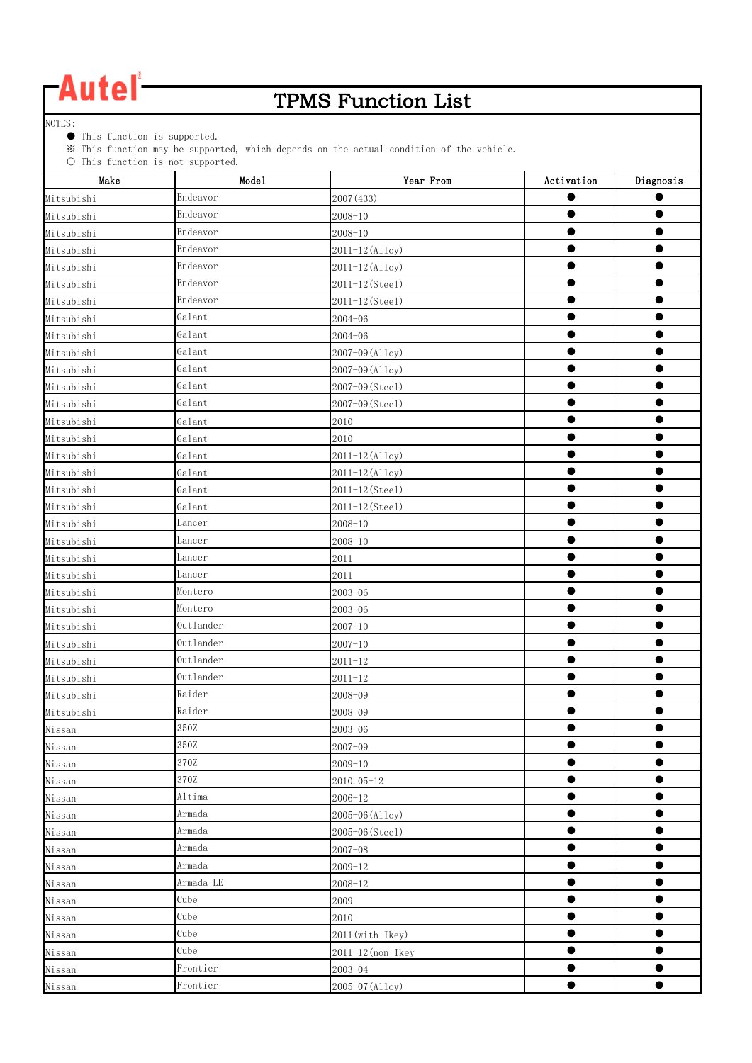### TPMS Function List

NOTES:

● This function is supported.

※ This function may be supported, which depends on the actual condition of the vehicle.

| $\cup$ Inis function is not supported.<br>Make | Mode1     | Year From         | Activation | Diagnosis |
|------------------------------------------------|-----------|-------------------|------------|-----------|
| Mitsubishi                                     | Endeavor  | 2007 (433)        |            |           |
| Mitsubishi                                     | Endeavor  | $2008 - 10$       | ●          |           |
| Mitsubishi                                     | Endeavor  | $2008 - 10$       |            |           |
| Mitsubishi                                     | Endeavor  | 2011-12 (Alloy)   |            |           |
| Mitsubishi                                     | Endeavor  | 2011-12 (Alloy)   |            |           |
| Mitsubishi                                     | Endeavor  | 2011-12 (Steel)   |            | $\bullet$ |
| Mitsubishi                                     | Endeavor  | 2011-12 (Steel)   |            |           |
| Mitsubishi                                     | Galant    | $2004 - 06$       | $\bullet$  | $\bullet$ |
| Mitsubishi                                     | Galant    | $2004 - 06$       |            |           |
| Mitsubishi                                     | Galant    | 2007-09 (Alloy)   |            |           |
| Mitsubishi                                     | Galant    | 2007-09 (Alloy)   |            |           |
| Mitsubishi                                     | Galant    | 2007-09 (Steel)   |            |           |
| Mitsubishi                                     | Galant    | 2007-09 (Steel)   |            |           |
| Mitsubishi                                     | Galant    | 2010              |            |           |
| Mitsubishi                                     | Galant    | 2010              | $\bullet$  |           |
| Mitsubishi                                     | Galant    | 2011-12 (Alloy)   |            |           |
| Mitsubishi                                     | Galant    | 2011-12 (Alloy)   |            |           |
| Mitsubishi                                     | Galant    | 2011-12 (Steel)   |            |           |
| Mitsubishi                                     | Galant    | 2011-12 (Steel)   |            |           |
| Mitsubishi                                     | Lancer    | $2008 - 10$       |            |           |
| Mitsubishi                                     | Lancer    | $2008 - 10$       |            |           |
| Mitsubishi                                     | Lancer    | 2011              |            |           |
| Mitsubishi                                     | Lancer    | 2011              |            | ●         |
| Mitsubishi                                     | Montero   | $2003 - 06$       |            |           |
| Mitsubishi                                     | Montero   | $2003 - 06$       |            |           |
| Mitsubishi                                     | Outlander | $2007 - 10$       |            |           |
| Mitsubishi                                     | Outlander | $2007 - 10$       |            | $\bullet$ |
| Mitsubishi                                     | Outlander | $2011 - 12$       |            |           |
| Mitsubishi                                     | Outlander | $2011 - 12$       |            |           |
| Mitsubishi                                     | Raider    | 2008-09           |            |           |
| Mitsubishi                                     | Raider    | 2008-09           | $\bullet$  | $\bullet$ |
| Nissan                                         | 350Z      | $2003 - 06$       |            |           |
| Nissan                                         | 350Z      | $2007 - 09$       |            | O         |
| Nissan                                         | 370Z      | $2009 - 10$       | $\bullet$  | $\bullet$ |
| Nissan                                         | 370Z      | 2010.05-12        | $\bullet$  | $\bullet$ |
| Nissan                                         | Altima    | $2006 - 12$       | $\bullet$  | $\bullet$ |
| Nissan                                         | Armada    | 2005-06 (Alloy)   | 0          | 0         |
| Nissan                                         | Armada    | 2005-06 (Steel)   | ●          |           |
| Nissan                                         | Armada    | $2007 - 08$       |            |           |
| Nissan                                         | Armada    | $2009 - 12$       | ●          | œ         |
| Nissan                                         | Armada-LE | $2008 - 12$       |            |           |
| Nissan                                         | Cube      | 2009              |            | ●         |
| Nissan                                         | Cube      | 2010              | ●          | ●         |
| Nissan                                         | Cube      | 2011(with Ikey)   | O          |           |
| Nissan                                         | Cube      | 2011-12 (non Ikey |            |           |
| Nissan                                         | Frontier  | $2003 - 04$       |            |           |
| Nissan                                         | Frontier  | 2005-07 (Alloy)   |            | ●         |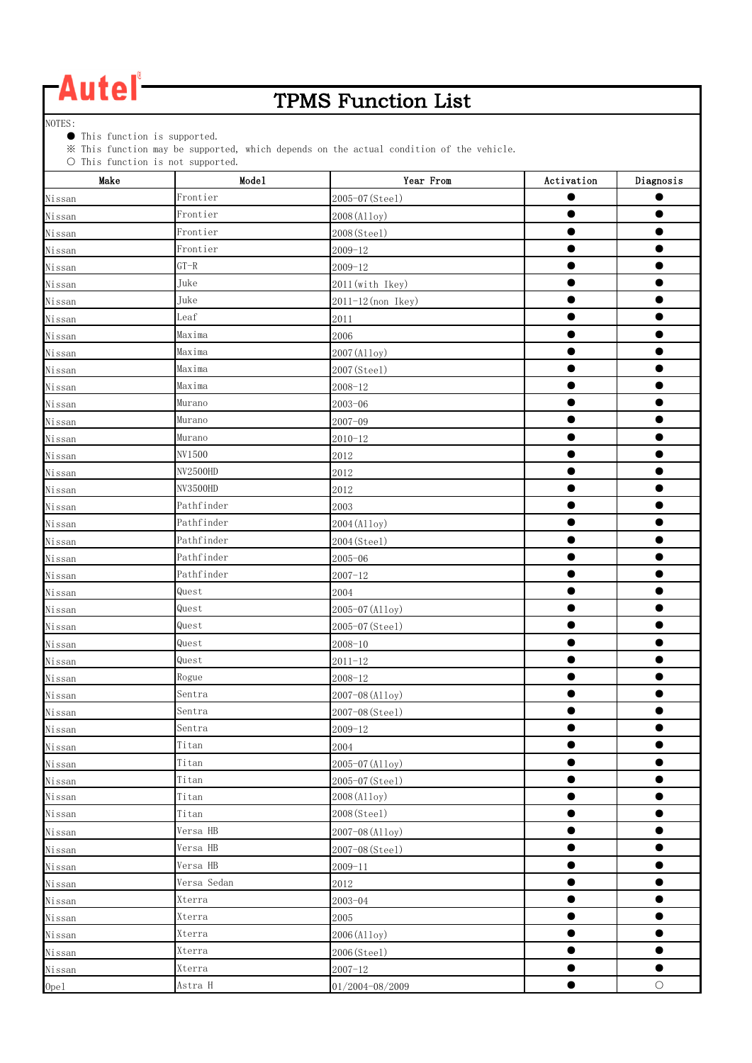### TPMS Function List

NOTES:

● This function is supported.

※ This function may be supported, which depends on the actual condition of the vehicle.

| $\cup$ This function is not supported.<br>Make | Mode1                  | Year From                             | Activation | Diagnosis  |
|------------------------------------------------|------------------------|---------------------------------------|------------|------------|
| Nissan                                         | Frontier               | 2005-07 (Steel)                       |            |            |
| Nissan                                         | Frontier               | 2008 (Alloy)                          | $\bullet$  |            |
| Nissan                                         | Frontier               | 2008 (Steel)                          |            |            |
| Nissan                                         | Frontier               | $2009 - 12$                           |            |            |
| Nissan                                         | $GT-R$                 | $2009 - 12$                           |            |            |
|                                                | Juke                   |                                       |            |            |
| Nissan                                         | Juke                   | 2011(with Ikey)<br>2011-12 (non Ikey) |            |            |
| Nissan                                         | Leaf                   | 2011                                  | $\bullet$  | ●          |
| Nissan                                         | Maxima                 |                                       | $\bullet$  |            |
| Nissan                                         | Maxima                 | 2006                                  |            |            |
| Nissan                                         | Maxima                 | 2007 (Alloy)                          |            |            |
| Nissan                                         | Maxima                 | 2007 (Steel)                          |            |            |
| Nissan                                         |                        | $2008 - 12$                           |            |            |
| Nissan                                         | Murano                 | $2003 - 06$                           |            |            |
| Nissan                                         | Murano<br>Murano       | $2007 - 09$                           |            |            |
| Nissan                                         | NV1500                 | $2010 - 12$                           |            |            |
| Nissan                                         |                        | 2012                                  |            |            |
| Nissan                                         | NV2500HD               | 2012                                  |            |            |
| Nissan                                         | NV3500HD<br>Pathfinder | 2012                                  |            |            |
| Nissan                                         |                        | 2003                                  |            |            |
| Nissan                                         | Pathfinder             | 2004 (Alloy)                          |            |            |
| Nissan                                         | Pathfinder             | 2004 (Steel)                          |            |            |
| Nissan                                         | Pathfinder             | $2005 - 06$                           |            |            |
| Nissan                                         | Pathfinder             | $2007 - 12$                           | $\bullet$  | $\bullet$  |
| Nissan                                         | Quest                  | 2004                                  |            |            |
| Nissan                                         | Quest                  | 2005-07 (Alloy)                       |            |            |
| Nissan                                         | Quest                  | 2005-07 (Steel)                       |            |            |
| Nissan                                         | Quest                  | $2008 - 10$                           | ●          |            |
| Nissan                                         | Quest                  | $2011 - 12$                           |            |            |
| Nissan                                         | Rogue                  | $2008 - 12$                           |            |            |
| Nissan                                         | Sentra                 | 2007-08 (Alloy)                       |            |            |
| Nissan                                         | Sentra                 | 2007-08 (Steel)                       | $\bullet$  | $\bullet$  |
| Nissan                                         | Sentra                 | $2009 - 12$                           |            |            |
| Nissan                                         | Titan                  | 2004                                  | $\bullet$  | 0          |
| Nissan                                         | Titan                  | 2005-07 (Alloy)                       | $\bullet$  | $\bullet$  |
| Nissan                                         | Titan                  | 2005-07 (Steel)                       | $\bullet$  | ●          |
| Nissan                                         | Titan                  | 2008 (Alloy)                          | $\bullet$  | ●          |
| Nissan                                         | Titan                  | 2008 (Steel)                          |            |            |
| Nissan                                         | Versa HB               | 2007-08 (Alloy)                       |            | e          |
| Nissan                                         | Versa HB               | 2007-08 (Steel)                       | 0          |            |
| Nissan                                         | Versa HB               | $2009 - 11$                           | $\bullet$  | e          |
| Nissan                                         | Versa Sedan            | 2012                                  | 0          | 0          |
| Nissan                                         | Xterra                 | $2003 - 04$                           | $\bullet$  | $\bullet$  |
| Nissan                                         | Xterra                 | 2005                                  | $\bullet$  | $\bullet$  |
| Nissan                                         | Xterra                 | 2006 (Alloy)                          | $\bullet$  |            |
| Nissan                                         | Xterra                 | 2006(Steel)                           |            |            |
| Nissan                                         | Xterra                 | $2007 - 12$                           | $\bullet$  | $\bullet$  |
| 0pe1                                           | Astra H                | 01/2004-08/2009                       | $\bullet$  | $\bigcirc$ |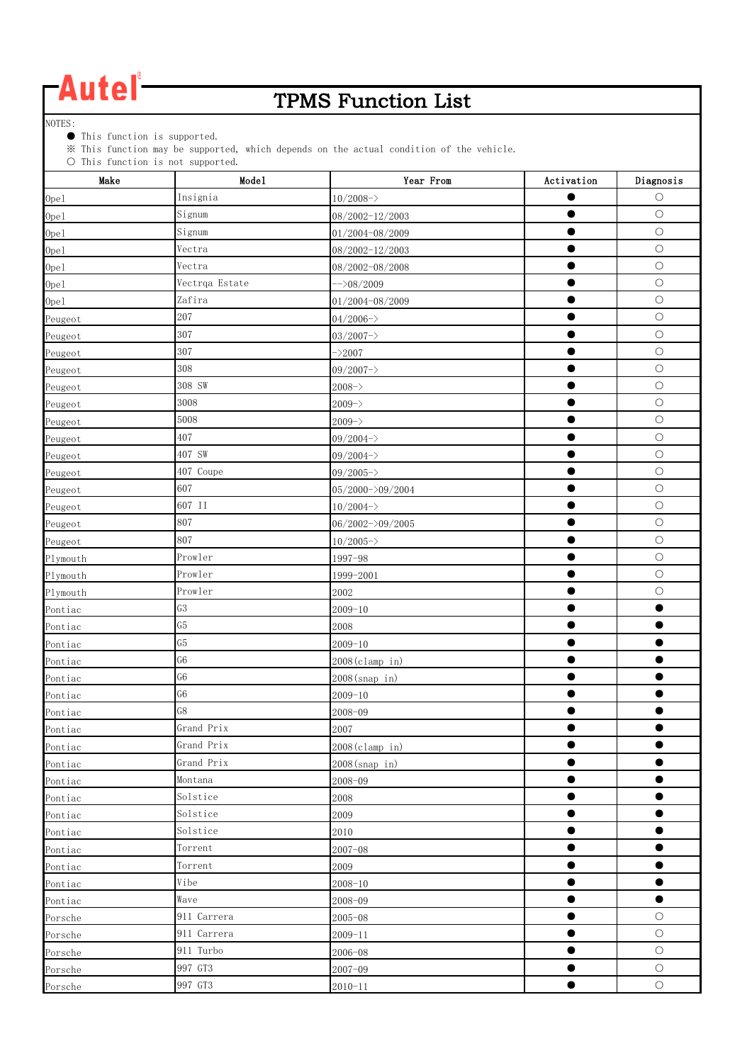### TPMS Function List

NOTES:

● This function is supported.

※ This function may be supported, which depends on the actual condition of the vehicle.

| $\circ$ into randeron is not supported.<br>Make | Mode1          | Year From             | Activation | Diagnosis  |
|-------------------------------------------------|----------------|-----------------------|------------|------------|
| 0pe1                                            | Insignia       | $10/2008 - >$         |            | $\circ$    |
| 0pe1                                            | Signum         | 08/2002-12/2003       |            | $\circ$    |
| 0pe1                                            | Signum         | 01/2004-08/2009       |            | $\circ$    |
| 0pe1                                            | Vectra         | 08/2002-12/2003       |            | $\bigcirc$ |
| 0pe1                                            | Vectra         | 08/2002-08/2008       | $\bullet$  | $\bigcirc$ |
| 0pe1                                            | Vectrqa Estate | $\rightarrow$ 08/2009 | ●          | $\bigcirc$ |
| 0pe1                                            | Zafira         | 01/2004-08/2009       | $\bullet$  | $\bigcirc$ |
| Peugeot                                         | 207            | $04/2006 - \rangle$   |            | $\bigcirc$ |
| Peugeot                                         | 307            | $03/2007 - >$         | $\bullet$  | $\bigcirc$ |
| Peugeot                                         | 307            | $-2007$               |            | $\circ$    |
| Peugeot                                         | 308            | $09/2007 -$           |            | $\circ$    |
| Peugeot                                         | 308 SW         | $2008 - \rangle$      |            | $\bigcirc$ |
| Peugeot                                         | 3008           | $2009 - \rangle$      | ●          | $\bigcirc$ |
| Peugeot                                         | 5008           | $2009 - \rangle$      |            | $\bigcirc$ |
| Peugeot                                         | 407            | $09/2004 -$           |            | $\bigcirc$ |
| Peugeot                                         | 407 SW         | $09/2004 -$           | $\bullet$  | $\bigcirc$ |
| Peugeot                                         | 407 Coupe      | $09/2005 -$           | $\bullet$  | $\circ$    |
| Peugeot                                         | 607            | 05/2000->09/2004      | $\bullet$  | $\circ$    |
| Peugeot                                         | 607 II         | $10/2004 - >$         |            | $\bigcirc$ |
| Peugeot                                         | 807            | 06/2002->09/2005      |            | $\bigcirc$ |
| Peugeot                                         | 807            | $10/2005 - \rangle$   |            | $\bigcirc$ |
| Plymouth                                        | Prowler        | 1997-98               |            | $\bigcirc$ |
| Plymouth                                        | Prowler        | 1999-2001             |            | $\bigcirc$ |
| Plymouth                                        | Prowler        | 2002                  | ●          | $\circ$    |
| Pontiac                                         | G3             | $2009 - 10$           |            | ●          |
| Pontiac                                         | G5             | 2008                  | O          |            |
| Pontiac                                         | G5             | $2009 - 10$           |            |            |
| Pontiac                                         | G <sub>6</sub> | 2008(clamp in)        |            | ●          |
| Pontiac                                         | G <sub>6</sub> | 2008(snap in)         |            |            |
| Pontiac                                         | G <sub>6</sub> | $2009 - 10$           |            |            |
| Pontiac                                         | G8             | 2008-09               |            |            |
| Pontiac                                         | Grand Prix     | 2007                  |            |            |
| Pontiac                                         | Grand Prix     | 2008(clamp in)        | $\bullet$  | $\bullet$  |
| Pontiac                                         | Grand Prix     | 2008(snap in)         | 0          | 0          |
| Pontiac                                         | Montana        | 2008-09               |            |            |
| Pontiac                                         | Solstice       | 2008                  | $\bullet$  | $\bullet$  |
| Pontiac                                         | Solstice       | 2009                  | $\bullet$  | $\bullet$  |
| Pontiac                                         | Solstice       | 2010                  |            |            |
| Pontiac                                         | Torrent        | $2007 - 08$           |            |            |
| Pontiac                                         | Torrent        | 2009                  | ●          | ●          |
| Pontiac                                         | Vibe           | $2008 - 10$           |            | ۸          |
| Pontiac                                         | Wave           | 2008-09               |            | ●          |
| Porsche                                         | 911 Carrera    | $2005 - 08$           |            | $\bigcirc$ |
| Porsche                                         | 911 Carrera    | $2009 - 11$           | ●          | $\bigcirc$ |
| Porsche                                         | 911 Turbo      | 2006-08               |            | $\bigcirc$ |
| Porsche                                         | 997 GT3        | $2007 - 09$           |            | $\bigcirc$ |
| Porsche                                         | 997 GT3        | $2010 - 11$           |            | $\bigcirc$ |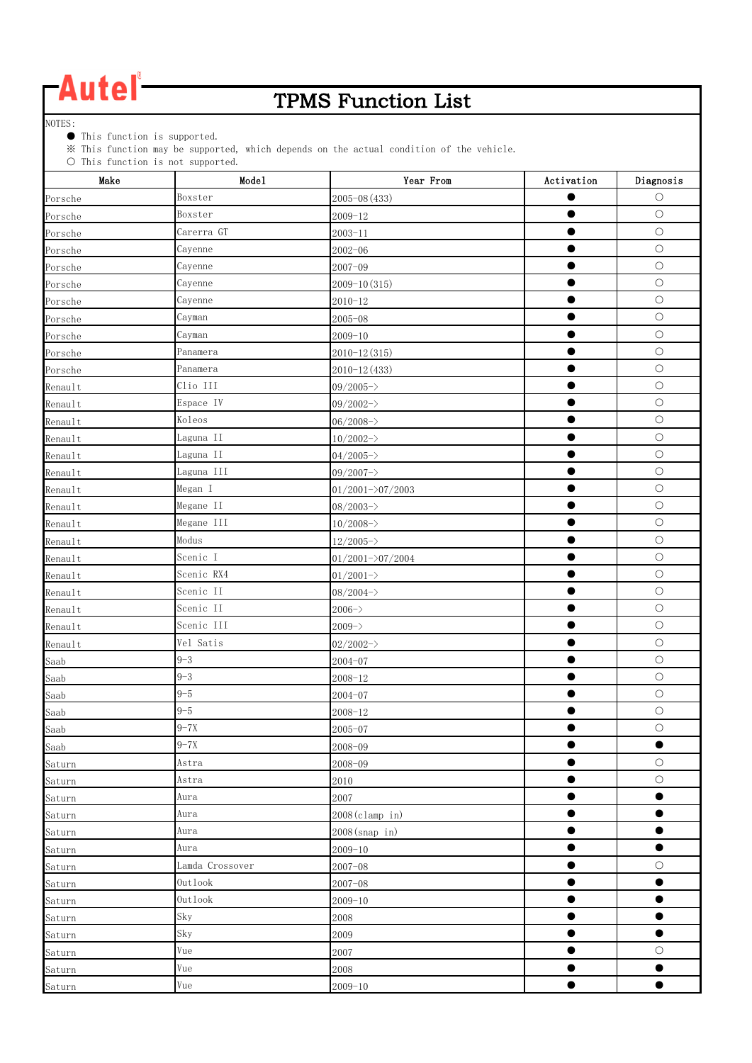### TPMS Function List

NOTES:

● This function is supported.

※ This function may be supported, which depends on the actual condition of the vehicle.

| $\cup$ inis function is not supported.<br>Make | Mode1           | Year From            | Activation | Diagnosis  |
|------------------------------------------------|-----------------|----------------------|------------|------------|
| Porsche                                        | Boxster         | $2005 - 08(433)$     |            | $\circ$    |
| Porsche                                        | Boxster         | $2009 - 12$          |            | $\bigcirc$ |
| Porsche                                        | Carerra GT      | $2003 - 11$          | ●          | $\bigcirc$ |
| Porsche                                        | Cayenne         | $2002 - 06$          | $\bullet$  | $\bigcirc$ |
| Porsche                                        | Cayenne         | $2007 - 09$          | $\bullet$  | $\bigcirc$ |
| Porsche                                        | Cayenne         | $2009 - 10(315)$     | $\bullet$  | $\bigcirc$ |
| Porsche                                        | Cayenne         | $2010 - 12$          |            | $\bigcirc$ |
| Porsche                                        | Cayman          | $2005 - 08$          | ●          | $\bigcirc$ |
| Porsche                                        | Cayman          | $2009 - 10$          | $\bullet$  | $\circ$    |
| Porsche                                        | Panamera        | $2010 - 12(315)$     |            | $\circ$    |
| Porsche                                        | Panamera        | $2010 - 12(433)$     |            | $\bigcirc$ |
| Renault                                        | Clio III        | $09/2005 -$          |            | $\bigcirc$ |
| Renault                                        | Espace IV       | $09/2002 -$          |            | $\bigcirc$ |
| Renault                                        | Koleos          | $06/2008 - \rangle$  | ●          | $\circ$    |
| Renault                                        | Laguna II       | $10/2002 -$          | $\bullet$  | $\bigcirc$ |
| Renault                                        | Laguna II       | $04/2005 - \rangle$  | $\bullet$  | $\bigcirc$ |
| Renault                                        | Laguna III      | $09/2007 -$          | $\bullet$  | $\circ$    |
| Renault                                        | Megan I         | $01/2001 - 207/2003$ | $\bullet$  | $\bigcirc$ |
| Renault                                        | Megane II       | $08/2003 - \rangle$  |            | $\bigcirc$ |
| Renault                                        | Megane III      | $10/2008 - \rangle$  | $\bullet$  | $\bigcirc$ |
| Renault                                        | Modus           | $12/2005 -$          | $\bullet$  | $\circ$    |
| Renault                                        | Scenic I        | $01/2001 - 207/2004$ | ●          | $\bigcirc$ |
| Renault                                        | Scenic RX4      | $01/2001 - \rangle$  |            | $\bigcirc$ |
| Renault                                        | Scenic II       | $08/2004 -$          | $\bullet$  | $\bigcirc$ |
| Renault                                        | Scenic II       | $2006 - \rangle$     |            | $\bigcirc$ |
| Renault                                        | Scenic III      | $2009 - \rangle$     |            | $\bigcirc$ |
| Renault                                        | Vel Satis       | $02/2002 -$          |            | $\bigcirc$ |
| Saab                                           | $9 - 3$         | $2004 - 07$          | $\bullet$  | $\bigcirc$ |
| Saab                                           | $9 - 3$         | $2008 - 12$          | ●          | $\bigcirc$ |
| Saab                                           | $9 - 5$         | $2004 - 07$          |            | $\bigcirc$ |
| Saab                                           | $9 - 5$         | $2008 - 12$          | ●          | $\bigcirc$ |
| Saab                                           | $9 - 7X$        | $2005 - 07$          |            | $\circ$    |
| Saab                                           | $9 - 7X$        | $2008 - 09$          | O          | ●          |
| Saturn                                         | Astra           | 2008-09              |            | $\bigcirc$ |
| Saturn                                         | Astra           | 2010                 | $\bullet$  | $\bigcirc$ |
| Saturn                                         | Aura            | 2007                 | $\bullet$  | $\bullet$  |
| Saturn                                         | Aura            | 2008(clamp in)       | $\bullet$  | $\bullet$  |
| Saturn                                         | Aura            | 2008(snap in)        | $\bullet$  |            |
| Saturn                                         | Aura            | $2009 - 10$          | $\bullet$  | $\bullet$  |
| Saturn                                         | Lamda Crossover | $2007 - 08$          | $\bullet$  | $\bigcirc$ |
| Saturn                                         | Outlook         | $2007 - 08$          | $\bullet$  | $\bullet$  |
| Saturn                                         | Outlook         | $2009 - 10$          |            | $\bullet$  |
| Saturn                                         | Sky             | 2008                 | $\bullet$  | $\bullet$  |
| Saturn                                         | Sky             | 2009                 | $\bullet$  | $\bullet$  |
| Saturn                                         | Vue             | 2007                 | 0          | $\bigcirc$ |
| Saturn                                         | Vue             | 2008                 | $\bullet$  |            |
| Saturn                                         | Vue             | $2009 - 10$          | $\bullet$  | $\bullet$  |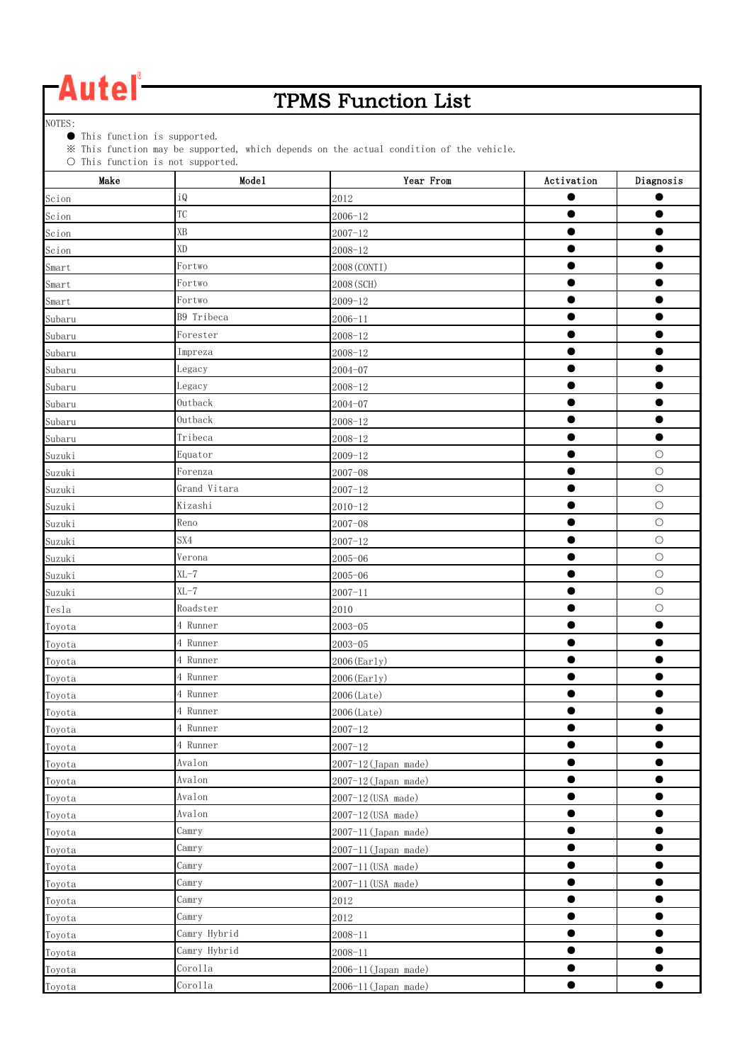### TPMS Function List

NOTES:

● This function is supported.

※ This function may be supported, which depends on the actual condition of the vehicle.

| $\cup$ inis function is not supported.<br>Make | Mode1        | Year From            | Activation | Diagnosis  |
|------------------------------------------------|--------------|----------------------|------------|------------|
| Scion                                          | iQ           | 2012                 |            |            |
| Scion                                          | <b>TC</b>    | $2006 - 12$          |            |            |
| Scion                                          | XB           | $2007 - 12$          | 0          |            |
| Scion                                          | XD           | $2008 - 12$          |            |            |
| Smart                                          | Fortwo       | 2008 (CONTI)         | $\bullet$  |            |
| Smart                                          | Fortwo       | 2008 (SCH)           | $\bullet$  |            |
| Smart                                          | Fortwo       | $2009 - 12$          |            |            |
| Subaru                                         | B9 Tribeca   | $2006 - 11$          |            |            |
| Subaru                                         | Forester     | $2008 - 12$          | $\bullet$  |            |
| Subaru                                         | Impreza      | $2008 - 12$          |            |            |
| Subaru                                         | Legacy       | $2004 - 07$          |            |            |
| Subaru                                         | Legacy       | $2008 - 12$          |            |            |
| Subaru                                         | Outback      | $2004 - 07$          |            |            |
| Subaru                                         | Outback      | $2008 - 12$          | 0          |            |
| Subaru                                         | Tribeca      | $2008 - 12$          | $\bullet$  | $\bullet$  |
| Suzuki                                         | Equator      | $2009 - 12$          | $\bullet$  | $\bigcirc$ |
| Suzuki                                         | Forenza      | $2007 - 08$          |            | $\circ$    |
| Suzuki                                         | Grand Vitara | $2007 - 12$          | 0          | $\bigcirc$ |
| Suzuki                                         | Kizashi      | $2010 - 12$          |            | $\bigcirc$ |
| Suzuki                                         | Reno         | $2007 - 08$          |            | $\bigcirc$ |
| Suzuki                                         | SX4          | $2007 - 12$          |            | $\bigcirc$ |
| Suzuki                                         | Verona       | $2005 - 06$          | 0          | $\bigcirc$ |
| Suzuki                                         | $XL-7$       | $2005 - 06$          |            | $\bigcirc$ |
| Suzuki                                         | $KL-7$       | $2007 - 11$          | $\bullet$  | $\bigcirc$ |
| Tesla                                          | Roadster     | 2010                 |            | $\bigcirc$ |
| Toyota                                         | 4 Runner     | $2003 - 05$          |            |            |
| Toyota                                         | 4 Runner     | $2003 - 05$          | -          |            |
| Toyota                                         | 4 Runner     | $2006$ (Early)       | ●          |            |
| Toyota                                         | 4 Runner     | $2006$ (Early)       | ●          |            |
| Toyota                                         | 4 Runner     | 2006 (Late)          |            |            |
| Toyota                                         | 4 Runner     | $2006$ (Late)        | œ          |            |
| Toyota                                         | 4 Runner     | $2007 - 12$          |            |            |
| Toyota                                         | 4 Runner     | $2007 - 12$          |            |            |
| Toyota                                         | Avalon       | 2007-12 (Japan made) |            |            |
| Toyota                                         | Avalon       | 2007-12 (Japan made) |            |            |
| Toyota                                         | Avalon       | 2007-12 (USA made)   | $\bullet$  | ●          |
| Toyota                                         | Avalon       | 2007-12 (USA made)   | ●          |            |
| Toyota                                         | Camry        | 2007-11 (Japan made) |            |            |
| Toyota                                         | Camry        | 2007-11 (Japan made) | $\bullet$  | $\bullet$  |
| Toyota                                         | Camry        | 2007-11 (USA made)   |            |            |
| Toyota                                         | Camry        | 2007-11 (USA made)   | 0          |            |
| Toyota                                         | Camry        | 2012                 |            |            |
| Toyota                                         | Camry        | 2012                 | $\bullet$  | ●          |
| Toyota                                         | Camry Hybrid | $2008 - 11$          |            |            |
| Toyota                                         | Camry Hybrid | $2008 - 11$          |            |            |
| Toyota                                         | Corolla      | 2006-11 (Japan made) |            |            |
| Toyota                                         | Corolla      | 2006-11 (Japan made) |            | ●          |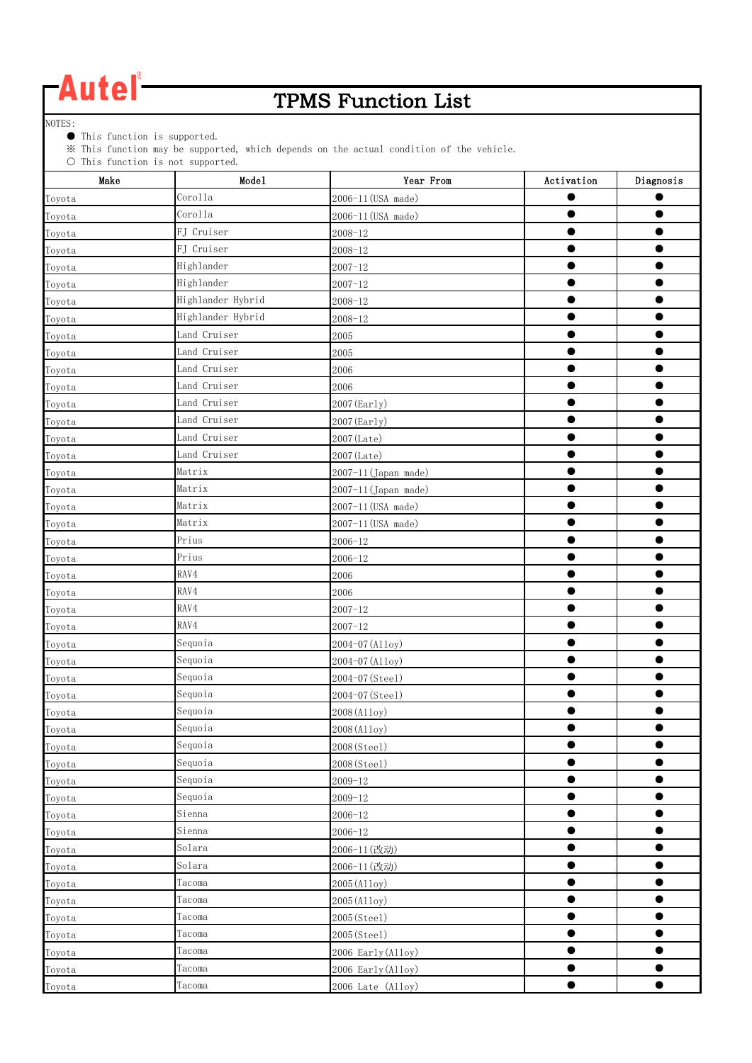### TPMS Function List

NOTES:

● This function is supported.

※ This function may be supported, which depends on the actual condition of the vehicle.

| Make   | $\cup$ Inis function is not supported.<br>Mode1 | Year From            | Activation | Diagnosis |
|--------|-------------------------------------------------|----------------------|------------|-----------|
| Toyota | Corolla                                         | 2006-11 (USA made)   |            |           |
| Toyota | Corolla                                         | 2006-11 (USA made)   | ●          |           |
| Toyota | FJ Cruiser                                      | $2008 - 12$          |            |           |
| Toyota | FJ Cruiser                                      | $2008 - 12$          |            |           |
| Toyota | Highlander                                      | $2007 - 12$          |            |           |
| Toyota | Highlander                                      | $2007 - 12$          |            |           |
| Toyota | Highlander Hybrid                               | $2008 - 12$          |            |           |
| Toyota | Highlander Hybrid                               | $2008 - 12$          | $\bullet$  | ●         |
| Toyota | Land Cruiser                                    | 2005                 |            |           |
| Toyota | Land Cruiser                                    | 2005                 |            |           |
| Toyota | Land Cruiser                                    | 2006                 |            |           |
| Toyota | Land Cruiser                                    | 2006                 |            |           |
| Toyota | Land Cruiser                                    | 2007 (Early)         |            |           |
| Toyota | Land Cruiser                                    | 2007 (Early)         |            |           |
| Toyota | Land Cruiser                                    | 2007 (Late)          | $\bullet$  | $\bullet$ |
| Toyota | Land Cruiser                                    | 2007 (Late)          |            |           |
| Toyota | Matrix                                          | 2007-11 (Japan made) | ●          |           |
| Toyota | Matrix                                          | 2007-11 (Japan made) |            |           |
| Toyota | Matrix                                          | 2007-11 (USA made)   |            |           |
| Toyota | Matrix                                          | 2007-11 (USA made)   |            |           |
| Toyota | Prius                                           | $2006 - 12$          |            |           |
| Toyota | Prius                                           | $2006 - 12$          |            |           |
| Toyota | RAV4                                            | 2006                 |            | ▬         |
| Toyota | RAV4                                            | 2006                 |            |           |
| Toyota | RAV4                                            | $2007 - 12$          |            |           |
| Toyota | RAV4                                            | $2007 - 12$          |            |           |
| Toyota | Sequoia                                         | 2004-07 (Alloy)      |            |           |
| Toyota | Sequoia                                         | 2004-07 (Alloy)      |            |           |
| Toyota | Sequoia                                         | 2004-07 (Steel)      |            |           |
| Toyota | Sequoia                                         | 2004-07 (Steel)      |            |           |
| Toyota | Sequoia                                         | 2008 (Alloy)         | $\bullet$  |           |
| Toyota | Sequoia                                         | 2008 (Alloy)         |            |           |
| Toyota | Sequoia                                         | 2008(Steel)          | O          |           |
| Toyota | Sequoia                                         | 2008(Steel)          | $\bullet$  | $\bullet$ |
| Toyota | Sequoia                                         | $2009 - 12$          | $\bullet$  | $\bullet$ |
| Toyota | Sequoia                                         | $2009 - 12$          | $\bullet$  | $\bullet$ |
| Toyota | Sienna                                          | $2006 - 12$          | $\bullet$  | 0         |
| Toyota | Sienna                                          | $2006 - 12$          | $\bullet$  | $\bullet$ |
| Toyota | Solara                                          | 2006-11(改动)          | ●          | ●         |
| Toyota | Solara                                          | 2006-11 (改动)         | $\bullet$  |           |
| Toyota | Tacoma                                          | 2005 (Alloy)         | œ          |           |
| Toyota | Tacoma                                          | 2005 (Alloy)         | $\bullet$  | $\bullet$ |
| Toyota | Tacoma                                          | 2005(Steel)          | $\bullet$  | $\bullet$ |
| Toyota | Tacoma                                          | 2005(Steel)          | $\bullet$  | ●         |
| Toyota | Tacoma                                          | 2006 Early (Alloy)   | œ          |           |
| Toyota | Tacoma                                          | 2006 Early (Alloy)   | $\bullet$  | $\bullet$ |
| Toyota | Tacoma                                          | 2006 Late (Alloy)    | $\bullet$  | $\bullet$ |
|        |                                                 |                      |            |           |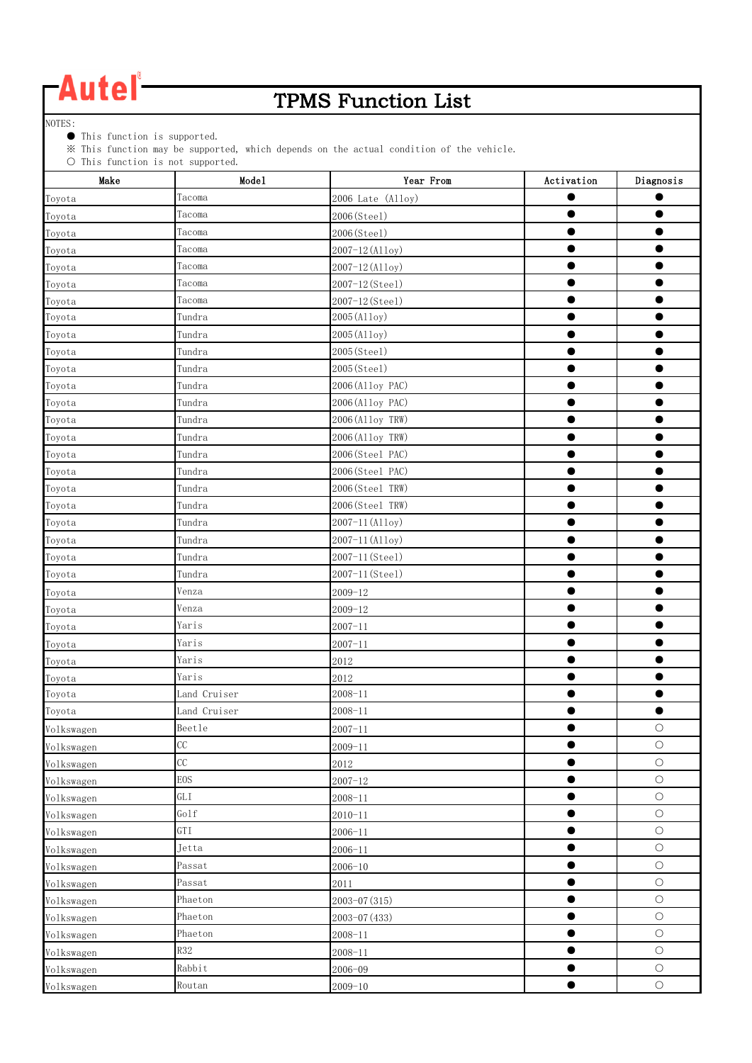

### TPMS Function List

NOTES:

● This function is supported.

※ This function may be supported, which depends on the actual condition of the vehicle.

| $\cup$ inis function is not supported.<br>Make | Mode1                | Year From         | Activation | Diagnosis  |
|------------------------------------------------|----------------------|-------------------|------------|------------|
| Toyota                                         | Tacoma               | 2006 Late (Alloy) |            |            |
| Toyota                                         | Tacoma               | 2006(Steel)       |            |            |
| Toyota                                         | Tacoma               | 2006(Steel)       |            |            |
| Toyota                                         | Tacoma               | 2007-12 (Alloy)   |            |            |
| Toyota                                         | Tacoma               | 2007-12 (Alloy)   |            |            |
| Toyota                                         | Tacoma               | 2007-12 (Steel)   |            |            |
| Toyota                                         | Tacoma               | 2007-12 (Steel)   |            |            |
| Toyota                                         | Tundra               | 2005 (Alloy)      | ●          |            |
| Toyota                                         | Tundra               | 2005 (Alloy)      | $\bullet$  |            |
| Toyota                                         | Tundra               | 2005(Steel)       | ●          |            |
| Toyota                                         | Tundra               | 2005(Steel)       |            |            |
| Toyota                                         | Tundra               | 2006 (Alloy PAC)  | ●          | 0          |
| Toyota                                         | Tundra               | 2006 (Alloy PAC)  |            |            |
| Toyota                                         | Tundra               | 2006(Alloy TRW)   |            |            |
| Toyota                                         | Tundra               | 2006(Alloy TRW)   |            |            |
| Toyota                                         | Tundra               | 2006(Steel PAC)   | ●          |            |
| Toyota                                         | Tundra               | 2006(Steel PAC)   |            |            |
| Toyota                                         | Tundra               | 2006(Steel TRW)   |            |            |
| Toyota                                         | Tundra               | 2006(Steel TRW)   |            |            |
| Toyota                                         | Tundra               | 2007-11 (Alloy)   | $\bullet$  |            |
| Toyota                                         | Tundra               | 2007-11 (Alloy)   | $\bullet$  |            |
| Toyota                                         | Tundra               | 2007-11 (Steel)   |            |            |
| Toyota                                         | Tundra               | 2007-11 (Steel)   |            |            |
| Toyota                                         | Venza                | $2009 - 12$       |            |            |
| Toyota                                         | Venza                | $2009 - 12$       |            |            |
| Toyota                                         | Yaris                | $2007 - 11$       |            |            |
| Toyota                                         | Yaris                | $2007 - 11$       |            |            |
| Toyota                                         | Yaris                | 2012              |            |            |
| Toyota                                         | Yaris                | 2012              |            |            |
| Toyota                                         | Land Cruiser         | $2008 - 11$       |            |            |
| Toyota                                         | Land Cruiser         | $2008 - 11$       |            | $\bullet$  |
| Volkswagen                                     | ${\tt Beetle}$       | $2007 - 11$       |            | $\bigcirc$ |
| Volkswagen                                     | CC                   | $2009 - 11$       | $\bullet$  | $\bigcirc$ |
| Volkswagen                                     | CC                   | 2012              |            | $\bigcirc$ |
| Volkswagen                                     | <b>EOS</b>           | $2007 - 12$       | $\bullet$  | $\bigcirc$ |
| Volkswagen                                     | $\operatorname{GLI}$ | $2008 - 11$       | $\bullet$  | $\bigcirc$ |
| Volkswagen                                     | Golf                 | $2010 - 11$       | $\bullet$  | $\bigcirc$ |
| Volkswagen                                     | GTI                  | $2006 - 11$       | $\bullet$  | $\bigcirc$ |
| Volkswagen                                     | Jetta                | $2006 - 11$       | $\bullet$  | $\bigcirc$ |
| Volkswagen                                     | Passat               | $2006 - 10$       | 0          | $\bigcirc$ |
| Volkswagen                                     | Passat               | 2011              | $\bullet$  | $\bigcirc$ |
| Volkswagen                                     | Phaeton              | 2003-07 (315)     | $\bullet$  | $\bigcirc$ |
| Volkswagen                                     | Phaeton              | 2003-07 (433)     | $\bullet$  | $\bigcirc$ |
| Volkswagen                                     | Phaeton              | $2008 - 11$       | $\bullet$  | $\bigcirc$ |
| Volkswagen                                     | <b>R32</b>           | $2008 - 11$       | $\bullet$  | $\bigcirc$ |
| Volkswagen                                     | Rabbit               | $2006 - 09$       |            | $\bigcirc$ |
| Volkswagen                                     | Routan               | $2009 - 10$       | $\bullet$  | $\bigcirc$ |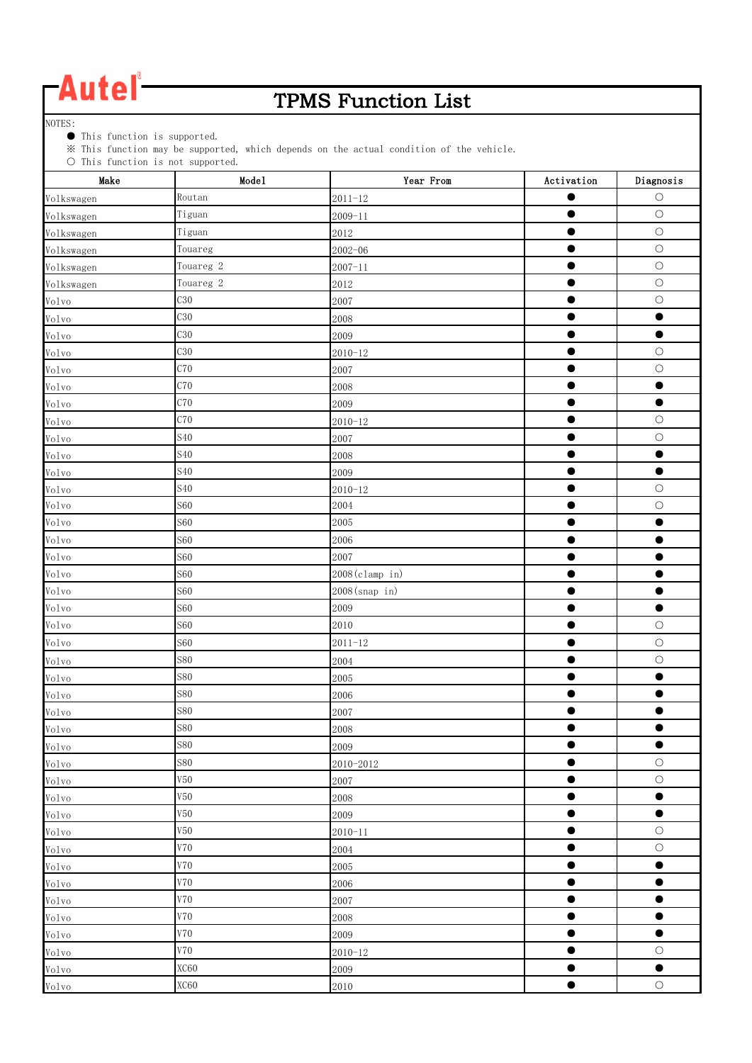### TPMS Function List

NOTES:

● This function is supported.

※ This function may be supported, which depends on the actual condition of the vehicle.

| $\circ$ into tunction is not supported.<br>Make | Mode1                | Year From      | Activation | Diagnosis  |
|-------------------------------------------------|----------------------|----------------|------------|------------|
| Volkswagen                                      | Routan               | $2011 - 12$    | œ          | $\circ$    |
| Volkswagen                                      | Tiguan               | $2009 - 11$    | 0          | $\bigcirc$ |
| Volkswagen                                      | Tiguan               | 2012           | $\bullet$  | $\bigcirc$ |
| Volkswagen                                      | Touareg              | $2002 - 06$    | 0          | $\bigcirc$ |
| Volkswagen                                      | Touareg <sub>2</sub> | $2007 - 11$    | $\bullet$  | $\bigcirc$ |
| Volkswagen                                      | Touareg <sub>2</sub> | 2012           | $\bullet$  | $\bigcirc$ |
| Volvo                                           | C30                  | 2007           | $\bullet$  | $\bigcirc$ |
| Volvo                                           | C30                  | 2008           |            | $\bullet$  |
| Volvo                                           | C30                  | 2009           | $\bullet$  | $\bullet$  |
| Volvo                                           | C30                  | $2010 - 12$    | $\bullet$  | $\bigcirc$ |
| Volvo                                           | C70                  | 2007           |            | $\bigcirc$ |
| Volvo                                           | C70                  | 2008           |            | $\bullet$  |
| Volvo                                           | C70                  | 2009           | $\bullet$  | $\bullet$  |
| Volvo                                           | C70                  | $2010 - 12$    | $\bullet$  | $\bigcirc$ |
| $V_01v_0$                                       | <b>S40</b>           | 2007           | ●          | $\bigcirc$ |
| Volvo                                           | <b>S40</b>           | 2008           | $\bullet$  | $\bullet$  |
| Volvo                                           | <b>S40</b>           | 2009           | $\bullet$  | $\bullet$  |
| Volvo                                           | <b>S40</b>           | $2010 - 12$    | ●          | $\bigcirc$ |
| Volvo                                           | <b>S60</b>           | 2004           |            | $\bigcirc$ |
| Volvo                                           | <b>S60</b>           | 2005           |            |            |
| Volvo                                           | <b>S60</b>           | 2006           | e          |            |
| Volvo                                           | <b>S60</b>           | 2007           |            |            |
| Volvo                                           | <b>S60</b>           | 2008(clamp in) |            |            |
| Volvo                                           | <b>S60</b>           | 2008(snap in)  | $\bullet$  | $\bullet$  |
| Volvo                                           | <b>S60</b>           | 2009           | $\bullet$  | $\bullet$  |
| Volvo                                           | <b>S60</b>           | 2010           | $\bullet$  | $\bigcirc$ |
| Volvo                                           | <b>S60</b>           | $2011 - 12$    |            | $\bigcirc$ |
| Volvo                                           | <b>S80</b>           | 2004           | $\bullet$  | $\bigcirc$ |
| Volvo                                           | <b>S80</b>           | 2005           | ●          | $\bullet$  |
| Volvo                                           | <b>S80</b>           | 2006           | ●          | ●          |
| Volvo                                           | <b>S80</b>           | 2007           |            |            |
| $V_01v_0$                                       | <b>S80</b>           | 2008           | $\bullet$  | $\bullet$  |
| Volvo                                           | <b>S80</b>           | 2009           | $\bullet$  | $\bullet$  |
| Volvo                                           | <b>S80</b>           | 2010-2012      | $\bullet$  | $\bigcirc$ |
| Volvo                                           | V50                  | 2007           | $\bullet$  | $\bigcirc$ |
| Volvo                                           | V50                  | 2008           | $\bullet$  | $\bullet$  |
| Volvo                                           | V50                  | 2009           | $\bullet$  | $\bullet$  |
| Volvo                                           | V50                  | $2010 - 11$    | $\bullet$  | $\bigcirc$ |
| Volvo                                           | <b>V70</b>           | 2004           | $\bullet$  | $\bigcirc$ |
| $V_01v_0$                                       | V70                  | 2005           | $\bullet$  | $\bullet$  |
| Volvo                                           | <b>V70</b>           | 2006           | $\bullet$  | $\bullet$  |
| Volvo                                           | V70                  | 2007           | $\bullet$  | $\bullet$  |
| Volvo                                           | V70                  | 2008           | $\bullet$  | $\bullet$  |
| $V_01v_0$                                       | V70                  | 2009           | $\bullet$  | $\bullet$  |
| Volvo                                           | V70                  | $2010 - 12$    | $\bullet$  | $\circ$    |
| Volvo                                           | XC60                 | 2009           | O          | $\bullet$  |
| Volvo                                           | XC60                 | 2010           | $\bullet$  | $\bigcirc$ |